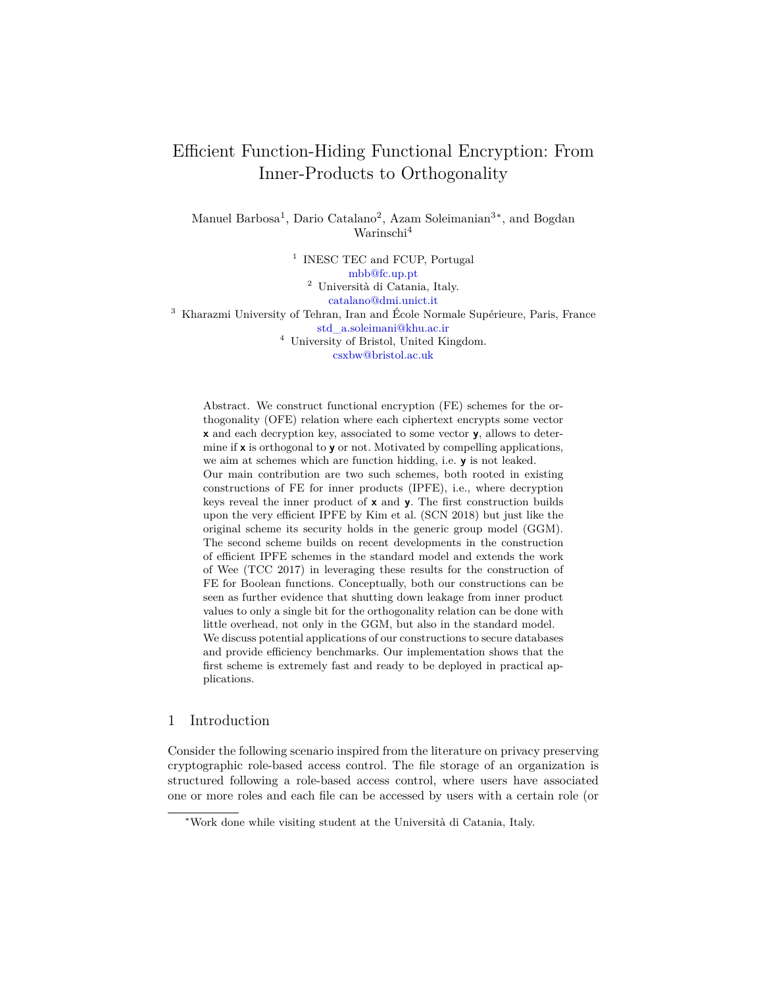# Efficient Function-Hiding Functional Encryption: From Inner-Products to Orthogonality

Manuel Barbosa<sup>1</sup>, Dario Catalano<sup>2</sup>, Azam Soleimanian<sup>3\*</sup>, and Bogdan Warinschi<sup>4</sup>

<sup>1</sup> INESC TEC and FCUP, Portugal [mbb@fc.up.pt](mailto:mbb@fc.up.pt) <sup>2</sup> Università di Catania, Italy. [catalano@dmi.unict.it](mailto:catalano@dmi.unict.it) <sup>3</sup> Kharazmi University of Tehran, Iran and École Normale Supérieure, Paris, France [std\\_a.soleimani@khu.ac.ir](mailto:std_a.soleimani@khu.ac.ir)  $^4\,$  University of Bristol, United Kingdom. [csxbw@bristol.ac.uk](mailto:csxbw@bristol.ac.uk)

Abstract. We construct functional encryption (FE) schemes for the orthogonality (OFE) relation where each ciphertext encrypts some vector **x** and each decryption key, associated to some vector **y**, allows to determine if **x** is orthogonal to **y** or not. Motivated by compelling applications, we aim at schemes which are function hidding, i.e. **y** is not leaked. Our main contribution are two such schemes, both rooted in existing constructions of FE for inner products (IPFE), i.e., where decryption keys reveal the inner product of **x** and **y**. The first construction builds upon the very efficient IPFE by Kim et al. (SCN 2018) but just like the original scheme its security holds in the generic group model (GGM). The second scheme builds on recent developments in the construction of efficient IPFE schemes in the standard model and extends the work of Wee (TCC 2017) in leveraging these results for the construction of FE for Boolean functions. Conceptually, both our constructions can be seen as further evidence that shutting down leakage from inner product values to only a single bit for the orthogonality relation can be done with little overhead, not only in the GGM, but also in the standard model. We discuss potential applications of our constructions to secure databases and provide efficiency benchmarks. Our implementation shows that the first scheme is extremely fast and ready to be deployed in practical applications.

## 1 Introduction

Consider the following scenario inspired from the literature on privacy preserving cryptographic role-based access control. The file storage of an organization is structured following a role-based access control, where users have associated one or more roles and each file can be accessed by users with a certain role (or

<sup>∗</sup>Work done while visiting student at the Università di Catania, Italy.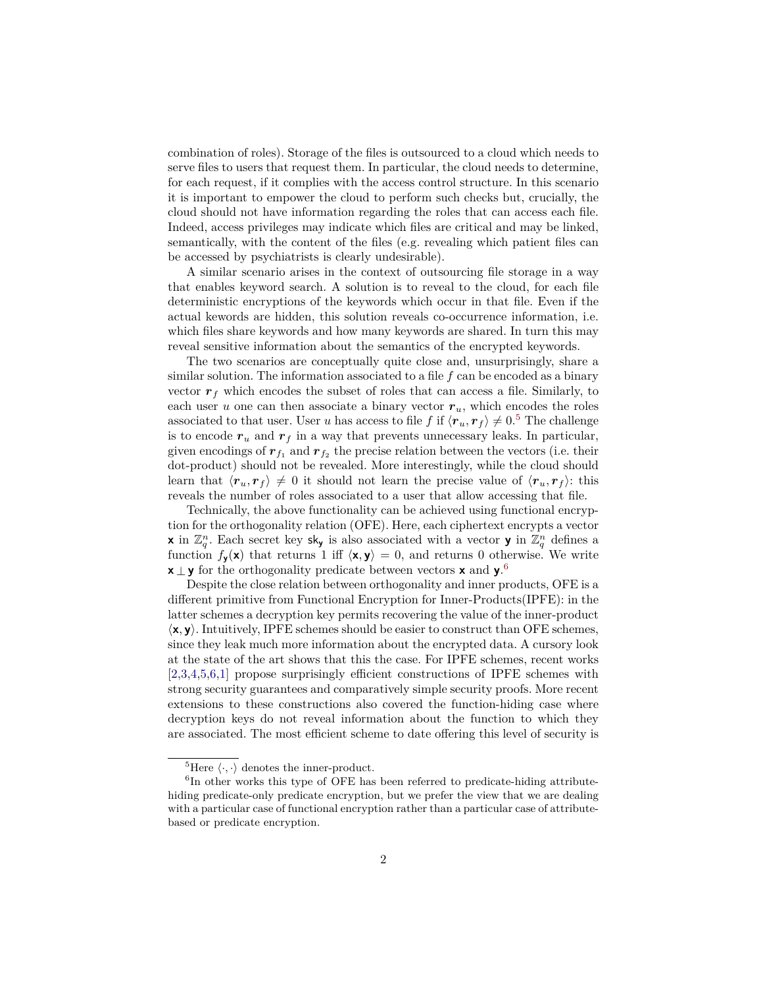combination of roles). Storage of the files is outsourced to a cloud which needs to serve files to users that request them. In particular, the cloud needs to determine, for each request, if it complies with the access control structure. In this scenario it is important to empower the cloud to perform such checks but, crucially, the cloud should not have information regarding the roles that can access each file. Indeed, access privileges may indicate which files are critical and may be linked, semantically, with the content of the files (e.g. revealing which patient files can be accessed by psychiatrists is clearly undesirable).

A similar scenario arises in the context of outsourcing file storage in a way that enables keyword search. A solution is to reveal to the cloud, for each file deterministic encryptions of the keywords which occur in that file. Even if the actual kewords are hidden, this solution reveals co-occurrence information, i.e. which files share keywords and how many keywords are shared. In turn this may reveal sensitive information about the semantics of the encrypted keywords.

The two scenarios are conceptually quite close and, unsurprisingly, share a similar solution. The information associated to a file *f* can be encoded as a binary vector  $r_f$  which encodes the subset of roles that can access a file. Similarly, to each user *u* one can then associate a binary vector  $r_u$ , which encodes the roles associated to that user. User *u* has access to file *f* if  $\langle r_u, r_f \rangle \neq 0.5$  $\langle r_u, r_f \rangle \neq 0.5$  The challenge is to encode  $r_u$  and  $r_f$  in a way that prevents unnecessary leaks. In particular, given encodings of  $r_{f_1}$  and  $r_{f_2}$  the precise relation between the vectors (i.e. their dot-product) should not be revealed. More interestingly, while the cloud should learn that  $\langle \mathbf{r}_u, \mathbf{r}_f \rangle \neq 0$  it should not learn the precise value of  $\langle \mathbf{r}_u, \mathbf{r}_f \rangle$ : this reveals the number of roles associated to a user that allow accessing that file.

Technically, the above functionality can be achieved using functional encryption for the orthogonality relation (OFE). Here, each ciphertext encrypts a vector **x** in  $\mathbb{Z}_q^n$ . Each secret key sk<sub>y</sub> is also associated with a vector **y** in  $\mathbb{Z}_q^n$  defines a function  $f_{\mathbf{y}}(\mathbf{x})$  that returns 1 iff  $\langle \mathbf{x}, \mathbf{y} \rangle = 0$ , and returns 0 otherwise. We write **x** *⊥* **y** for the orthogonality predicate between vectors **x** and **y**. [6](#page-1-1)

Despite the close relation between orthogonality and inner products, OFE is a different primitive from Functional Encryption for Inner-Products(IPFE): in the latter schemes a decryption key permits recovering the value of the inner-product *⟨***x***,* **y***⟩*. Intuitively, IPFE schemes should be easier to construct than OFE schemes, since they leak much more information about the encrypted data. A cursory look at the state of the art shows that this the case. For IPFE schemes, recent works [[2,](#page-20-0)[3](#page-20-1)[,4](#page-20-2),[5,](#page-20-3)[6,](#page-20-4)[1](#page-20-5)] propose surprisingly efficient constructions of IPFE schemes with strong security guarantees and comparatively simple security proofs. More recent extensions to these constructions also covered the function-hiding case where decryption keys do not reveal information about the function to which they are associated. The most efficient scheme to date offering this level of security is

<span id="page-1-1"></span><span id="page-1-0"></span><sup>&</sup>lt;sup>5</sup>Here  $\langle \cdot, \cdot \rangle$  denotes the inner-product.

<sup>&</sup>lt;sup>6</sup>In other works this type of OFE has been referred to predicate-hiding attributehiding predicate-only predicate encryption, but we prefer the view that we are dealing with a particular case of functional encryption rather than a particular case of attributebased or predicate encryption.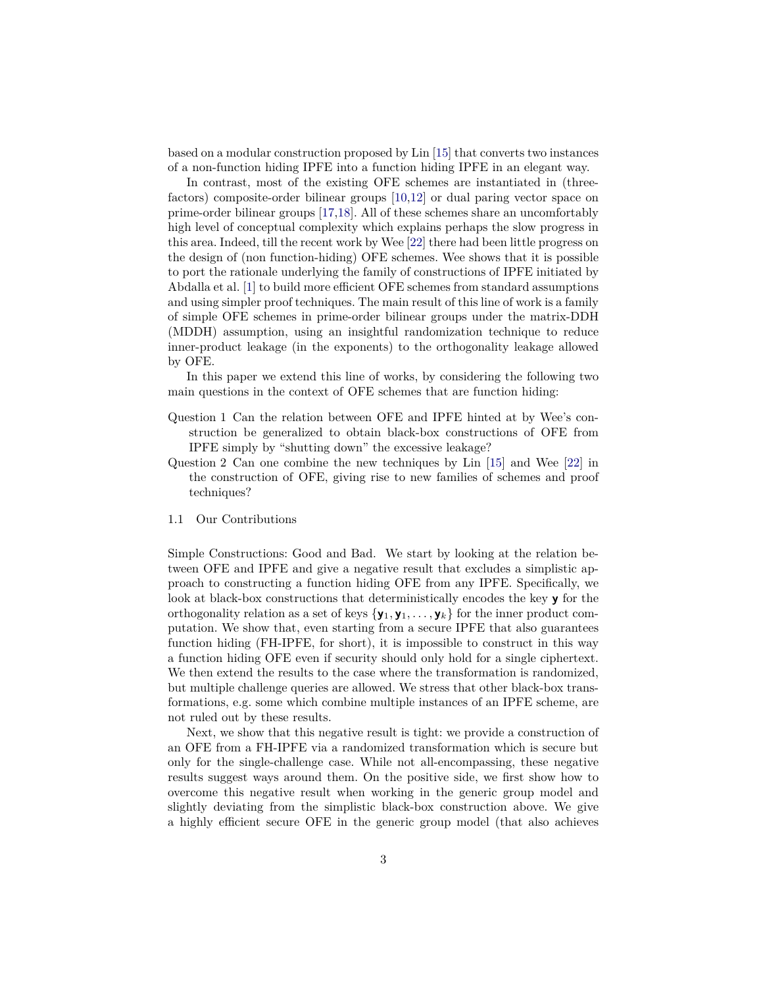based on a modular construction proposed by Lin [[15\]](#page-21-0) that converts two instances of a non-function hiding IPFE into a function hiding IPFE in an elegant way.

In contrast, most of the existing OFE schemes are instantiated in (threefactors) composite-order bilinear groups [[10](#page-20-6)[,12](#page-20-7)] or dual paring vector space on prime-order bilinear groups [\[17](#page-21-1)[,18](#page-21-2)]. All of these schemes share an uncomfortably high level of conceptual complexity which explains perhaps the slow progress in this area. Indeed, till the recent work by Wee [\[22](#page-21-3)] there had been little progress on the design of (non function-hiding) OFE schemes. Wee shows that it is possible to port the rationale underlying the family of constructions of IPFE initiated by Abdalla et al. [[1\]](#page-20-5) to build more efficient OFE schemes from standard assumptions and using simpler proof techniques. The main result of this line of work is a family of simple OFE schemes in prime-order bilinear groups under the matrix-DDH (MDDH) assumption, using an insightful randomization technique to reduce inner-product leakage (in the exponents) to the orthogonality leakage allowed by OFE.

In this paper we extend this line of works, by considering the following two main questions in the context of OFE schemes that are function hiding:

- Question 1 Can the relation between OFE and IPFE hinted at by Wee's construction be generalized to obtain black-box constructions of OFE from IPFE simply by "shutting down" the excessive leakage?
- Question 2 Can one combine the new techniques by Lin [[15\]](#page-21-0) and Wee [\[22](#page-21-3)] in the construction of OFE, giving rise to new families of schemes and proof techniques?
- 1.1 Our Contributions

Simple Constructions: Good and Bad. We start by looking at the relation between OFE and IPFE and give a negative result that excludes a simplistic approach to constructing a function hiding OFE from any IPFE. Specifically, we look at black-box constructions that deterministically encodes the key **y** for the orthogonality relation as a set of keys  ${\bf y}_1, {\bf y}_1, \ldots, {\bf y}_k$  for the inner product computation. We show that, even starting from a secure IPFE that also guarantees function hiding (FH-IPFE, for short), it is impossible to construct in this way a function hiding OFE even if security should only hold for a single ciphertext. We then extend the results to the case where the transformation is randomized, but multiple challenge queries are allowed. We stress that other black-box transformations, e.g. some which combine multiple instances of an IPFE scheme, are not ruled out by these results.

Next, we show that this negative result is tight: we provide a construction of an OFE from a FH-IPFE via a randomized transformation which is secure but only for the single-challenge case. While not all-encompassing, these negative results suggest ways around them. On the positive side, we first show how to overcome this negative result when working in the generic group model and slightly deviating from the simplistic black-box construction above. We give a highly efficient secure OFE in the generic group model (that also achieves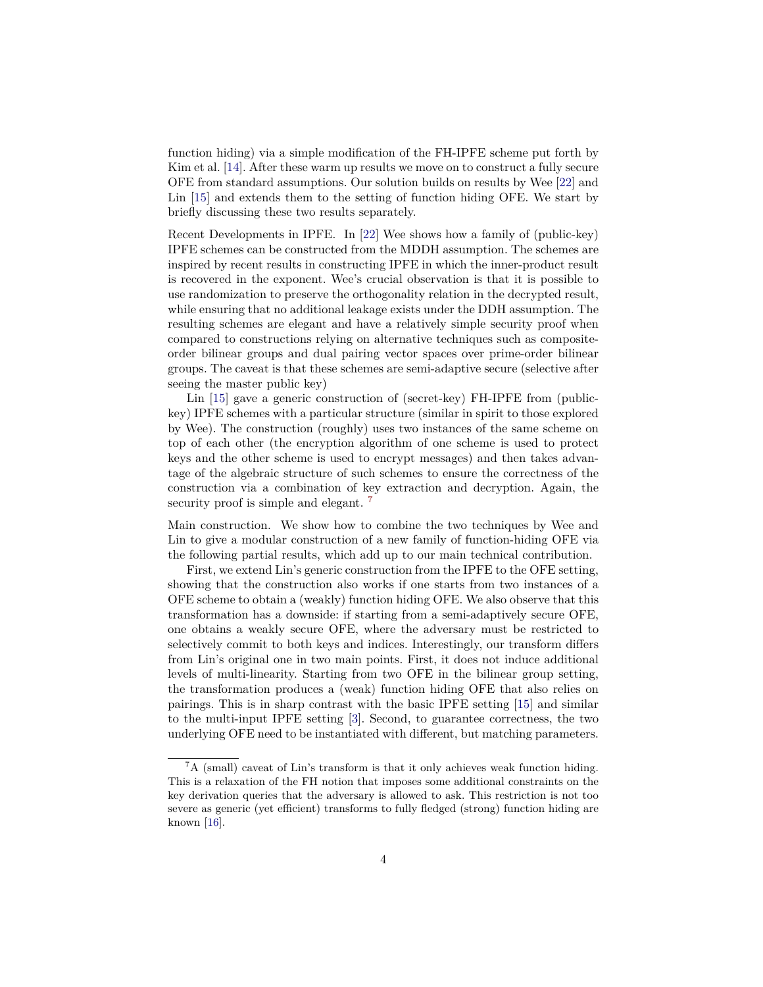function hiding) via a simple modification of the FH-IPFE scheme put forth by Kim et al. [\[14](#page-21-4)]. After these warm up results we move on to construct a fully secure OFE from standard assumptions. Our solution builds on results by Wee [\[22\]](#page-21-3) and Lin [[15\]](#page-21-0) and extends them to the setting of function hiding OFE. We start by briefly discussing these two results separately.

Recent Developments in IPFE. In [\[22](#page-21-3)] Wee shows how a family of (public-key) IPFE schemes can be constructed from the MDDH assumption. The schemes are inspired by recent results in constructing IPFE in which the inner-product result is recovered in the exponent. Wee's crucial observation is that it is possible to use randomization to preserve the orthogonality relation in the decrypted result, while ensuring that no additional leakage exists under the DDH assumption. The resulting schemes are elegant and have a relatively simple security proof when compared to constructions relying on alternative techniques such as compositeorder bilinear groups and dual pairing vector spaces over prime-order bilinear groups. The caveat is that these schemes are semi-adaptive secure (selective after seeing the master public key)

Lin [[15\]](#page-21-0) gave a generic construction of (secret-key) FH-IPFE from (publickey) IPFE schemes with a particular structure (similar in spirit to those explored by Wee). The construction (roughly) uses two instances of the same scheme on top of each other (the encryption algorithm of one scheme is used to protect keys and the other scheme is used to encrypt messages) and then takes advantage of the algebraic structure of such schemes to ensure the correctness of the construction via a combination of key extraction and decryption. Again, the security proof is simple and elegant.<sup>[7](#page-3-0)</sup>

Main construction. We show how to combine the two techniques by Wee and Lin to give a modular construction of a new family of function-hiding OFE via the following partial results, which add up to our main technical contribution.

First, we extend Lin's generic construction from the IPFE to the OFE setting, showing that the construction also works if one starts from two instances of a OFE scheme to obtain a (weakly) function hiding OFE. We also observe that this transformation has a downside: if starting from a semi-adaptively secure OFE, one obtains a weakly secure OFE, where the adversary must be restricted to selectively commit to both keys and indices. Interestingly, our transform differs from Lin's original one in two main points. First, it does not induce additional levels of multi-linearity. Starting from two OFE in the bilinear group setting, the transformation produces a (weak) function hiding OFE that also relies on pairings. This is in sharp contrast with the basic IPFE setting [\[15](#page-21-0)] and similar to the multi-input IPFE setting [\[3](#page-20-1)]. Second, to guarantee correctness, the two underlying OFE need to be instantiated with different, but matching parameters.

<span id="page-3-0"></span> ${}^{7}A$  (small) caveat of Lin's transform is that it only achieves weak function hiding. This is a relaxation of the FH notion that imposes some additional constraints on the key derivation queries that the adversary is allowed to ask. This restriction is not too severe as generic (yet efficient) transforms to fully fledged (strong) function hiding are known [[16\]](#page-21-5).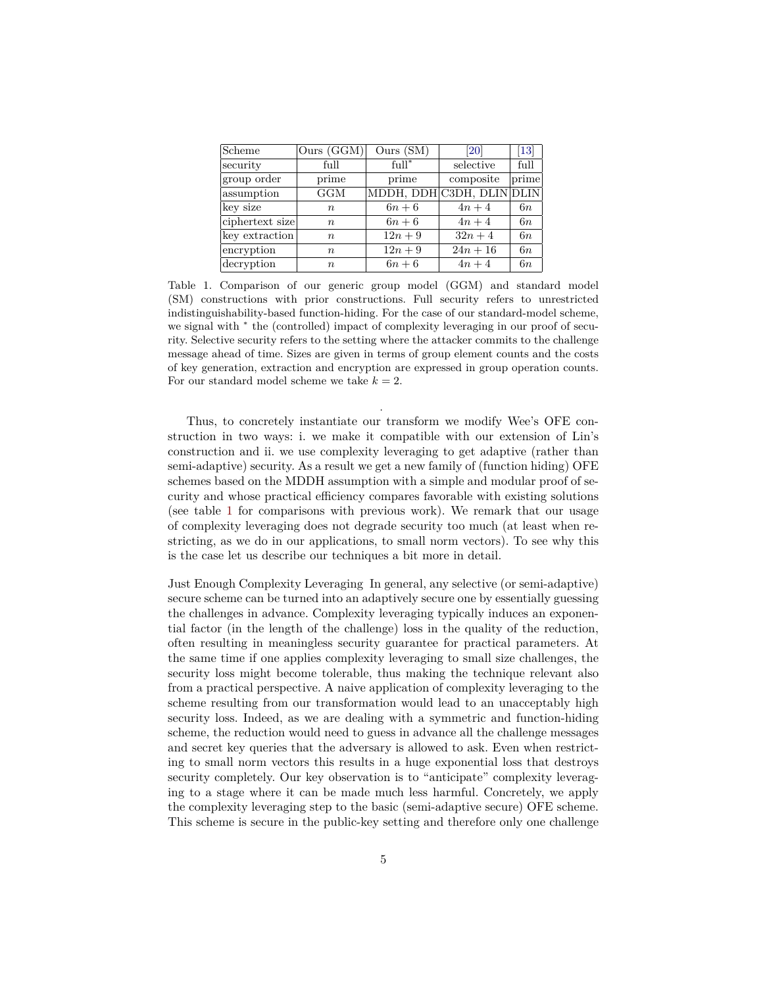| Scheme          | Ours(GGM)        | Ours (SM)                 | <b>20</b>  | $[13]$ |
|-----------------|------------------|---------------------------|------------|--------|
| security        | full             | $full^*$                  | selective  | full   |
| group order     | prime            | prime                     | composite  | prime  |
| assumption      | GGM              | MDDH, DDH C3DH, DLIN DLIN |            |        |
| key size        | $\boldsymbol{n}$ | $6n+6$                    | $4n+4$     | 6n     |
| ciphertext size | $\boldsymbol{n}$ | $6n+6$                    | $4n+4$     | 6n     |
| key extraction  | $\boldsymbol{n}$ | $12n + 9$                 | $32n + 4$  | 6n     |
| encryption      | $\boldsymbol{n}$ | $12n + 9$                 | $24n + 16$ | 6n     |
| decryption      | $\boldsymbol{n}$ | $6n+6$                    | $4n+4$     | 6n     |

<span id="page-4-0"></span>Table 1. Comparison of our generic group model (GGM) and standard model (SM) constructions with prior constructions. Full security refers to unrestricted indistinguishability-based function-hiding. For the case of our standard-model scheme, we signal with *<sup>∗</sup>* the (controlled) impact of complexity leveraging in our proof of security. Selective security refers to the setting where the attacker commits to the challenge message ahead of time. Sizes are given in terms of group element counts and the costs of key generation, extraction and encryption are expressed in group operation counts. For our standard model scheme we take  $k = 2$ .

.

Thus, to concretely instantiate our transform we modify Wee's OFE construction in two ways: i. we make it compatible with our extension of Lin's construction and ii. we use complexity leveraging to get adaptive (rather than semi-adaptive) security. As a result we get a new family of (function hiding) OFE schemes based on the MDDH assumption with a simple and modular proof of security and whose practical efficiency compares favorable with existing solutions (see table [1](#page-4-0) for comparisons with previous work). We remark that our usage of complexity leveraging does not degrade security too much (at least when restricting, as we do in our applications, to small norm vectors). To see why this is the case let us describe our techniques a bit more in detail.

Just Enough Complexity Leveraging In general, any selective (or semi-adaptive) secure scheme can be turned into an adaptively secure one by essentially guessing the challenges in advance. Complexity leveraging typically induces an exponential factor (in the length of the challenge) loss in the quality of the reduction, often resulting in meaningless security guarantee for practical parameters. At the same time if one applies complexity leveraging to small size challenges, the security loss might become tolerable, thus making the technique relevant also from a practical perspective. A naive application of complexity leveraging to the scheme resulting from our transformation would lead to an unacceptably high security loss. Indeed, as we are dealing with a symmetric and function-hiding scheme, the reduction would need to guess in advance all the challenge messages and secret key queries that the adversary is allowed to ask. Even when restricting to small norm vectors this results in a huge exponential loss that destroys security completely. Our key observation is to "anticipate" complexity leveraging to a stage where it can be made much less harmful. Concretely, we apply the complexity leveraging step to the basic (semi-adaptive secure) OFE scheme. This scheme is secure in the public-key setting and therefore only one challenge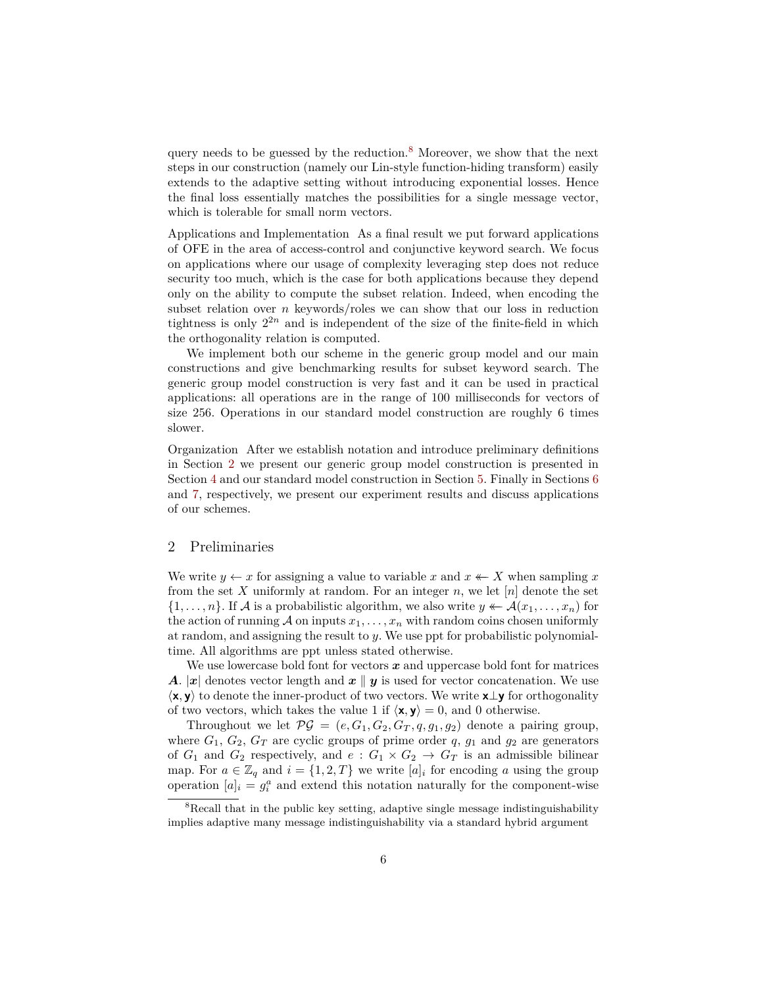query needs to be guessed by the reduction.<sup>[8](#page-5-0)</sup> Moreover, we show that the next steps in our construction (namely our Lin-style function-hiding transform) easily extends to the adaptive setting without introducing exponential losses. Hence the final loss essentially matches the possibilities for a single message vector, which is tolerable for small norm vectors.

Applications and Implementation As a final result we put forward applications of OFE in the area of access-control and conjunctive keyword search. We focus on applications where our usage of complexity leveraging step does not reduce security too much, which is the case for both applications because they depend only on the ability to compute the subset relation. Indeed, when encoding the subset relation over *n* keywords/roles we can show that our loss in reduction tightness is only  $2^{2n}$  and is independent of the size of the finite-field in which the orthogonality relation is computed.

We implement both our scheme in the generic group model and our main constructions and give benchmarking results for subset keyword search. The generic group model construction is very fast and it can be used in practical applications: all operations are in the range of 100 milliseconds for vectors of size 256. Operations in our standard model construction are roughly 6 times slower.

Organization After we establish notation and introduce preliminary definitions in Section [2](#page-5-1) we present our generic group model construction is presented in Section [4](#page-9-0) and our standard model construction in Section [5](#page-11-0). Finally in Sections [6](#page-16-0) and [7](#page-17-0), respectively, we present our experiment results and discuss applications of our schemes.

## <span id="page-5-1"></span>2 Preliminaries

We write  $y \leftarrow x$  for assigning a value to variable x and  $x \leftarrow X$  when sampling x from the set X uniformly at random. For an integer  $n$ , we let  $[n]$  denote the set  $\{1, \ldots, n\}$ . If *A* is a probabilistic algorithm, we also write  $y \leftarrow A(x_1, \ldots, x_n)$  for the action of running  $A$  on inputs  $x_1, \ldots, x_n$  with random coins chosen uniformly at random, and assigning the result to *y*. We use ppt for probabilistic polynomialtime. All algorithms are ppt unless stated otherwise.

We use lowercase bold font for vectors *x* and uppercase bold font for matrices *A*.  $|x|$  denotes vector length and  $x \, \parallel y$  is used for vector concatenation. We use *⟨***x***,* **y***⟩* to denote the inner-product of two vectors. We write **x***⊥***y** for orthogonality of two vectors, which takes the value 1 if  $\langle \mathbf{x}, \mathbf{y} \rangle = 0$ , and 0 otherwise.

Throughout we let  $\mathcal{PG} = (e, G_1, G_2, G_T, q, g_1, g_2)$  denote a pairing group, where  $G_1, G_2, G_T$  are cyclic groups of prime order  $q, g_1$  and  $g_2$  are generators of  $G_1$  and  $G_2$  respectively, and  $e: G_1 \times G_2 \rightarrow G_T$  is an admissible bilinear map. For  $a \in \mathbb{Z}_q$  and  $i = \{1, 2, T\}$  we write  $[a]_i$  for encoding *a* using the group operation  $[a]_i = g_i^a$  and extend this notation naturally for the component-wise

<span id="page-5-0"></span><sup>&</sup>lt;sup>8</sup>Recall that in the public key setting, adaptive single message indistinguishability implies adaptive many message indistinguishability via a standard hybrid argument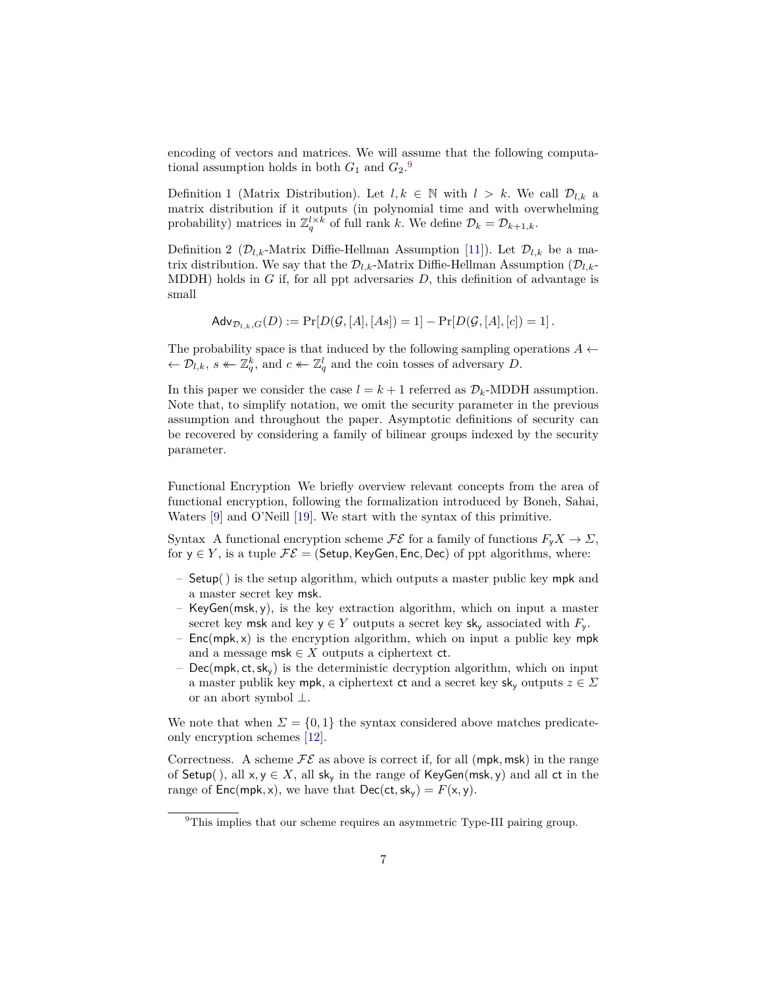encoding of vectors and matrices. We will assume that the following computational assumption holds in both  $G_1$  and  $G_2$ <sup>[9](#page-6-0)</sup>.

Definition 1 (Matrix Distribution). Let  $l, k \in \mathbb{N}$  with  $l > k$ . We call  $\mathcal{D}_{l,k}$  a matrix distribution if it outputs (in polynomial time and with overwhelming probability) matrices in  $\mathbb{Z}_q^{l \times k}$  of full rank *k*. We define  $\mathcal{D}_k = \mathcal{D}_{k+1,k}$ .

Definition 2 ( $\mathcal{D}_{l,k}$ -Matrix Diffie-Hellman Assumption [[11\]](#page-20-9)). Let  $\mathcal{D}_{l,k}$  be a matrix distribution. We say that the  $\mathcal{D}_{l,k}$ -Matrix Diffie-Hellman Assumption  $(\mathcal{D}_{l,k}$ -MDDH) holds in *G* if, for all ppt adversaries *D*, this definition of advantage is small

$$
Adv_{\mathcal{D}_{l,k},G}(D) := \Pr[D(\mathcal{G}, [A], [As]) = 1] - \Pr[D(\mathcal{G}, [A], [c]) = 1].
$$

The probability space is that induced by the following sampling operations  $A \leftarrow$  $\leftarrow \mathcal{D}_{l,k}, s \leftarrow \mathbb{Z}_q^k$ , and  $c \leftarrow \mathbb{Z}_q^l$  and the coin tosses of adversary *D*.

In this paper we consider the case  $l = k + 1$  referred as  $\mathcal{D}_k$ -MDDH assumption. Note that, to simplify notation, we omit the security parameter in the previous assumption and throughout the paper. Asymptotic definitions of security can be recovered by considering a family of bilinear groups indexed by the security parameter.

Functional Encryption We briefly overview relevant concepts from the area of functional encryption, following the formalization introduced by Boneh, Sahai, Waters [\[9](#page-20-10)] and O'Neill [[19\]](#page-21-7). We start with the syntax of this primitive.

Syntax A functional encryption scheme  $\mathcal{FE}$  for a family of functions  $F_v X \to \Sigma$ , for  $y \in Y$ , is a tuple  $\mathcal{FE} =$  (Setup, KeyGen, Enc, Dec) of ppt algorithms, where:

- Setup() is the setup algorithm, which outputs a master public key mpk and a master secret key msk.
- KeyGen(msk*,* y), is the key extraction algorithm, which on input a master secret key msk and key  $y \in Y$  outputs a secret key sk<sub>y</sub> associated with  $F_y$ .
- Enc(mpk*,* x) is the encryption algorithm, which on input a public key mpk and a message msk  $\in X$  outputs a ciphertext ct.
- Dec(mpk*,* ct*,*sky) is the deterministic decryption algorithm, which on input a master publik key mpk, a ciphertext ct and a secret key  $sk_y$  outputs  $z \in \Sigma$ or an abort symbol *⊥*.

We note that when  $\Sigma = \{0, 1\}$  the syntax considered above matches predicateonly encryption schemes [[12\]](#page-20-7).

Correctness. A scheme  $\mathcal{FE}$  as above is correct if, for all (mpk, msk) in the range of Setup( ), all x*,* y *∈ X*, all sk<sup>y</sup> in the range of KeyGen(msk*,* y) and all ct in the range of  $Enc(mpk, x)$ , we have that  $Dec(ct, sk_y) = F(x, y)$ .

<span id="page-6-0"></span> $^{9}$ This implies that our scheme requires an asymmetric Type-III pairing group.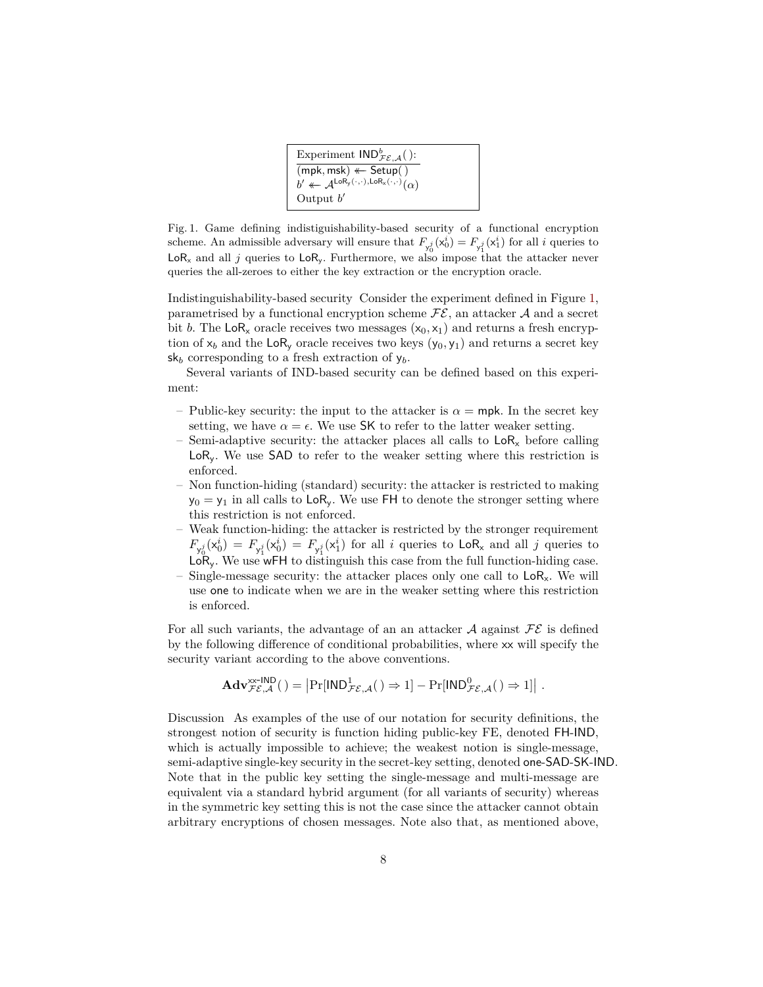| Experiment $\mathsf{IND}_{\mathcal{FE},\mathcal{A}}^b$ ():                                                          |  |
|---------------------------------------------------------------------------------------------------------------------|--|
| $(mpk, msk) \leftarrow Setup()$                                                                                     |  |
| $b' \leftarrow \mathcal{A}^{\mathsf{LoR}_{\mathsf{y}}(\cdot,\cdot),\mathsf{LoR}_{\mathsf{x}}(\cdot,\cdot)}(\alpha)$ |  |
| Output $b'$                                                                                                         |  |

<span id="page-7-0"></span>Fig. 1. Game defining indistiguishability-based security of a functional encryption scheme. An admissible adversary will ensure that  $F_{y_0^j}(x_0^i) = F_{y_1^j}(x_1^i)$  for all *i* queries to  $LoR<sub>x</sub>$  and all *j* queries to  $LoR<sub>y</sub>$ . Furthermore, we also impose that the attacker never queries the all-zeroes to either the key extraction or the encryption oracle.

Indistinguishability-based security Consider the experiment defined in Figure [1,](#page-7-0) parametrised by a functional encryption scheme  $\mathcal{FE}$ , an attacker  $\mathcal A$  and a secret bit *b*. The LoR<sub>x</sub> oracle receives two messages  $(x_0, x_1)$  and returns a fresh encryption of  $x_b$  and the LoR<sub>y</sub> oracle receives two keys  $(y_0, y_1)$  and returns a secret key  $s_{k}$  corresponding to a fresh extraction of  $y_b$ .

Several variants of IND-based security can be defined based on this experiment:

- Public-key security: the input to the attacker is  $\alpha = m$  pk. In the secret key setting, we have  $\alpha = \epsilon$ . We use SK to refer to the latter weaker setting.
- Semi-adaptive security: the attacker places all calls to  $\text{LoR}_x$  before calling LoR<sub>y</sub>. We use SAD to refer to the weaker setting where this restriction is enforced.
- Non function-hiding (standard) security: the attacker is restricted to making  $y_0 = y_1$  in all calls to LoR<sub>y</sub>. We use FH to denote the stronger setting where this restriction is not enforced.
- Weak function-hiding: the attacker is restricted by the stronger requirement  $F_{y_0^j}(x_0^i) = F_{y_1^j}(x_0^i) = F_{y_1^j}(x_1^i)$  for all *i* queries to  $\text{LoR}_x$  and all *j* queries to  $LoR_v$ . We use wFH to distinguish this case from the full function-hiding case. Single-message security: the attacker places only one call to  $LoR<sub>x</sub>$ . We will use one to indicate when we are in the weaker setting where this restriction is enforced.

For all such variants, the advantage of an an attacker  $A$  against  $FE$  is defined by the following difference of conditional probabilities, where xx will specify the security variant according to the above conventions.

$$
\mathbf{Adv}_{\mathcal{FE},\mathcal{A}}^{\mathsf{xx}\text{-}\mathsf{IND}}\big(\,\big)=\big|\mathrm{Pr}[\mathsf{IND}_{\mathcal{FE},\mathcal{A}}^{1}(\,)\Rightarrow 1]-\mathrm{Pr}[\mathsf{IND}_{\mathcal{FE},\mathcal{A}}^{0}(\,)\Rightarrow 1]\big|\ .
$$

Discussion As examples of the use of our notation for security definitions, the strongest notion of security is function hiding public-key FE, denoted FH-IND, which is actually impossible to achieve; the weakest notion is single-message, semi-adaptive single-key security in the secret-key setting, denoted one-SAD-SK-IND. Note that in the public key setting the single-message and multi-message are equivalent via a standard hybrid argument (for all variants of security) whereas in the symmetric key setting this is not the case since the attacker cannot obtain arbitrary encryptions of chosen messages. Note also that, as mentioned above,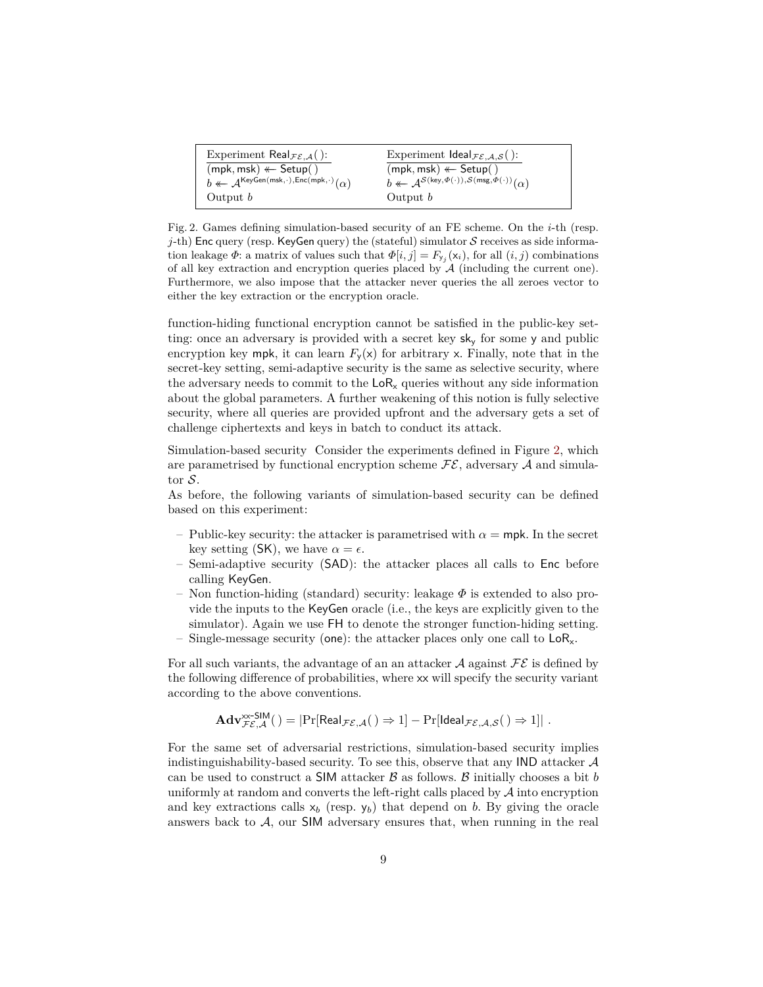| Experiment Real $\mathcal{F}\varepsilon_{\mathcal{A}}($ ):                                                | Experiment $\text{Ideal}_{\mathcal{FE},\mathcal{A},\mathcal{S}}($ ):                                             |
|-----------------------------------------------------------------------------------------------------------|------------------------------------------------------------------------------------------------------------------|
| $(mpk, msk) \leftarrow Setup()$                                                                           | $(mpk, msk) \leftarrow Setup()$                                                                                  |
| $b \leftarrow \mathcal{A}^{\mathsf{KeyGen}(\mathsf{msk},\cdot),\mathsf{Enc}(\mathsf{mpk},\cdot)}(\alpha)$ | $b \leftarrow \mathcal{A}^{\mathcal{S}(\mathsf{key},\Phi(\cdot)),\mathcal{S}(\mathsf{msg},\Phi(\cdot))}(\alpha)$ |
| Output $b$                                                                                                | Output $b$                                                                                                       |

<span id="page-8-0"></span>Fig. 2. Games defining simulation-based security of an FE scheme. On the *i*-th (resp. *j*-th) Enc query (resp. KeyGen query) the (stateful) simulator *S* receives as side information leakage  $\Phi$ : a matrix of values such that  $\Phi[i, j] = F_{y_j}(\mathsf{x}_i)$ , for all  $(i, j)$  combinations of all key extraction and encryption queries placed by  $A$  (including the current one). Furthermore, we also impose that the attacker never queries the all zeroes vector to either the key extraction or the encryption oracle.

function-hiding functional encryption cannot be satisfied in the public-key setting: once an adversary is provided with a secret key sk<sup>y</sup> for some y and public encryption key mpk, it can learn  $F_{\mathsf{v}}(\mathsf{x})$  for arbitrary x. Finally, note that in the secret-key setting, semi-adaptive security is the same as selective security, where the adversary needs to commit to the  $\text{LoR}_{\text{x}}$  queries without any side information about the global parameters. A further weakening of this notion is fully selective security, where all queries are provided upfront and the adversary gets a set of challenge ciphertexts and keys in batch to conduct its attack.

Simulation-based security Consider the experiments defined in Figure [2](#page-8-0), which are parametrised by functional encryption scheme  $\mathcal{FE}$ , adversary  $\mathcal A$  and simulator *S*.

As before, the following variants of simulation-based security can be defined based on this experiment:

- Public-key security: the attacker is parametrised with  $\alpha = m$ pk. In the secret key setting (SK), we have  $\alpha = \epsilon$ .
- Semi-adaptive security (SAD): the attacker places all calls to Enc before calling KeyGen.
- Non function-hiding (standard) security: leakage *Φ* is extended to also provide the inputs to the KeyGen oracle (i.e., the keys are explicitly given to the simulator). Again we use FH to denote the stronger function-hiding setting.
- Single-message security (one): the attacker places only one call to  $LoR_x$ .

For all such variants, the advantage of an an attacker  $A$  against  $FE$  is defined by the following difference of probabilities, where xx will specify the security variant according to the above conventions.

$$
\mathbf{Adv}_{\mathcal{FE},\mathcal{A}}^{\mathsf{xxx-SIM}}( ) = \left|\Pr[\mathsf{Real}_{\mathcal{FE},\mathcal{A}}( ) \Rightarrow 1] - \Pr[\mathsf{Ideal}_{\mathcal{FE},\mathcal{A},\mathcal{S}}( ) \Rightarrow 1]\right|.
$$

For the same set of adversarial restrictions, simulation-based security implies indistinguishability-based security. To see this, observe that any IND attacker *A* can be used to construct a SIM attacker *B* as follows. *B* initially chooses a bit *b* uniformly at random and converts the left-right calls placed by *A* into encryption and key extractions calls  $x_b$  (resp.  $y_b$ ) that depend on *b*. By giving the oracle answers back to  $A$ , our **SIM** adversary ensures that, when running in the real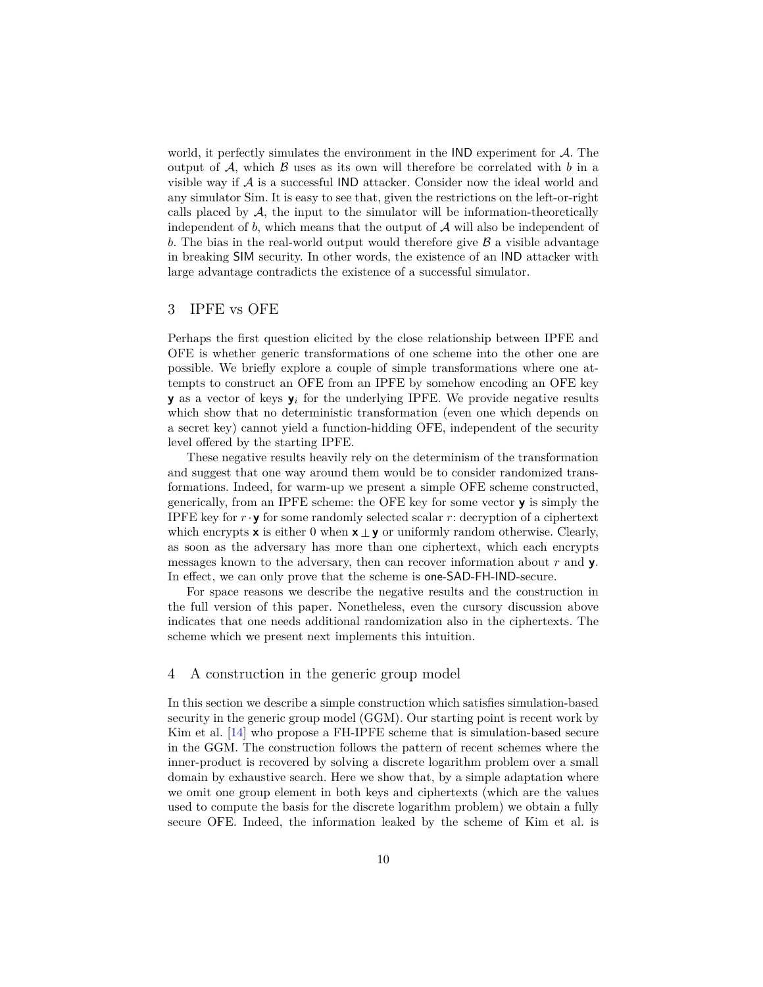world, it perfectly simulates the environment in the IND experiment for *A*. The output of  $A$ , which  $B$  uses as its own will therefore be correlated with  $b$  in a visible way if *A* is a successful IND attacker. Consider now the ideal world and any simulator Sim. It is easy to see that, given the restrictions on the left-or-right calls placed by  $A$ , the input to the simulator will be information-theoretically independent of  $b$ , which means that the output of  $A$  will also be independent of *b*. The bias in the real-world output would therefore give *B* a visible advantage in breaking SIM security. In other words, the existence of an IND attacker with large advantage contradicts the existence of a successful simulator.

## 3 IPFE vs OFE

Perhaps the first question elicited by the close relationship between IPFE and OFE is whether generic transformations of one scheme into the other one are possible. We briefly explore a couple of simple transformations where one attempts to construct an OFE from an IPFE by somehow encoding an OFE key **y** as a vector of keys  $y_i$  for the underlying IPFE. We provide negative results which show that no deterministic transformation (even one which depends on a secret key) cannot yield a function-hidding OFE, independent of the security level offered by the starting IPFE.

These negative results heavily rely on the determinism of the transformation and suggest that one way around them would be to consider randomized transformations. Indeed, for warm-up we present a simple OFE scheme constructed, generically, from an IPFE scheme: the OFE key for some vector **y** is simply the IPFE key for  $r \cdot \mathbf{y}$  for some randomly selected scalar  $r$ : decryption of a ciphertext which encrypts  $\mathbf{x}$  is either 0 when  $\mathbf{x} \perp \mathbf{y}$  or uniformly random otherwise. Clearly, as soon as the adversary has more than one ciphertext, which each encrypts messages known to the adversary, then can recover information about *r* and **y**. In effect, we can only prove that the scheme is one-SAD-FH-IND-secure.

For space reasons we describe the negative results and the construction in the full version of this paper. Nonetheless, even the cursory discussion above indicates that one needs additional randomization also in the ciphertexts. The scheme which we present next implements this intuition.

#### <span id="page-9-0"></span>4 A construction in the generic group model

In this section we describe a simple construction which satisfies simulation-based security in the generic group model (GGM). Our starting point is recent work by Kim et al. [\[14](#page-21-4)] who propose a FH-IPFE scheme that is simulation-based secure in the GGM. The construction follows the pattern of recent schemes where the inner-product is recovered by solving a discrete logarithm problem over a small domain by exhaustive search. Here we show that, by a simple adaptation where we omit one group element in both keys and ciphertexts (which are the values used to compute the basis for the discrete logarithm problem) we obtain a fully secure OFE. Indeed, the information leaked by the scheme of Kim et al. is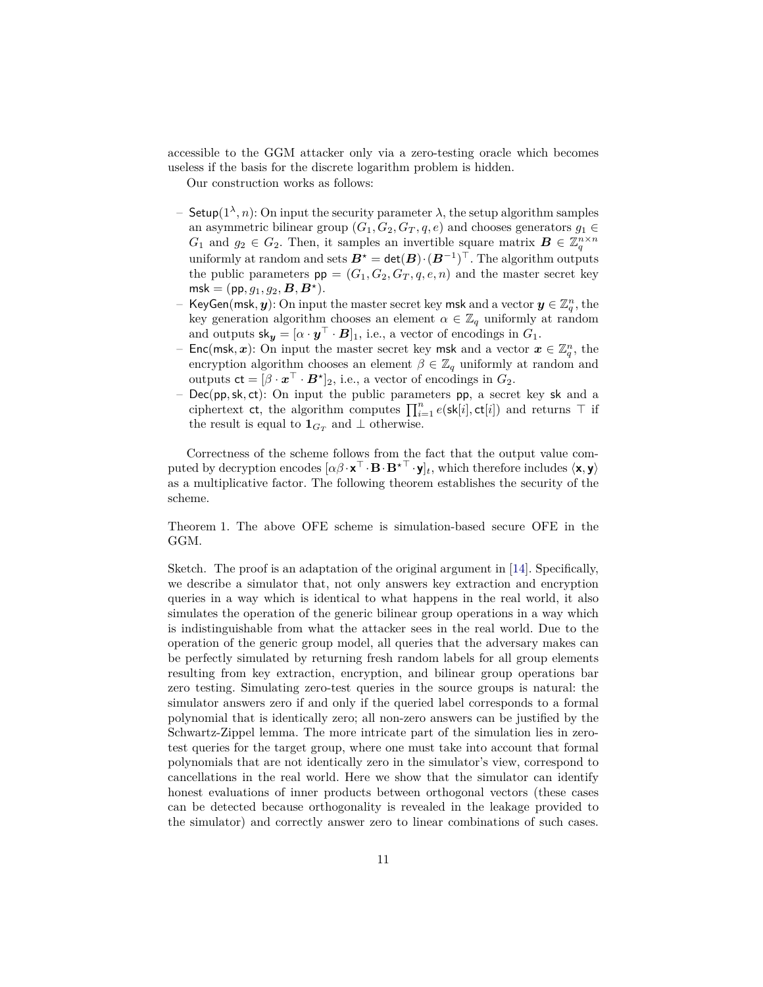accessible to the GGM attacker only via a zero-testing oracle which becomes useless if the basis for the discrete logarithm problem is hidden.

Our construction works as follows:

- Setup(1*<sup>λ</sup> , n*): On input the security parameter *λ*, the setup algorithm samples an asymmetric bilinear group  $(G_1, G_2, G_T, q, e)$  and chooses generators  $g_1 \in$ *G*<sub>1</sub> and  $g_2 \in G_2$ . Then, it samples an invertible square matrix  $\mathbf{B} \in \mathbb{Z}_q^{n \times n}$ uniformly at random and sets  $B^{\star} = \text{det}(B) \cdot (B^{-1})^{\top}$ . The algorithm outputs the public parameters  $pp = (G_1, G_2, G_T, q, e, n)$  and the master secret key  $\mathsf{msk} = (\mathsf{pp}, g_1, g_2, \mathbf{B}, \mathbf{B}^{\star}).$
- $-$  KeyGen(msk,  $\bm{y}$ ): On input the master secret key msk and a vector  $\bm{y} \in \mathbb{Z}_q^n,$  the key generation algorithm chooses an element  $\alpha \in \mathbb{Z}_q$  uniformly at random and outputs  $\mathsf{sk}_{\mathbf{y}} = [\alpha \cdot \mathbf{y}^\top \cdot \mathbf{B}]_1$ , i.e., a vector of encodings in  $G_1$ .
- − Enc(msk,  $x$ ): On input the master secret key msk and a vector  $x \in \mathbb{Z}_q^n$ , the encryption algorithm chooses an element  $\beta \in \mathbb{Z}_q$  uniformly at random and outputs  $ct = [\beta \cdot x^{\top} \cdot B^{\star}]_2$ , i.e., a vector of encodings in  $G_2$ .
- Dec(pp*,*sk*,* ct): On input the public parameters pp, a secret key sk and a ciphertext ct, the algorithm computes  $\prod_{i=1}^{n} e(\textbf{sk}[i], \textbf{ct}[i])$  and returns  $\top$  if the result is equal to  $\mathbf{1}_{G_T}$  and  $\perp$  otherwise.

Correctness of the scheme follows from the fact that the output value computed by decryption encodes  $[\alpha \beta \cdot \mathbf{x}^\top \cdot \mathbf{B} \cdot \mathbf{B}^{\star \top} \cdot \mathbf{y}]_t$ , which therefore includes  $\langle \mathbf{x}, \mathbf{y} \rangle$ as a multiplicative factor. The following theorem establishes the security of the scheme.

Theorem 1. The above OFE scheme is simulation-based secure OFE in the GGM.

Sketch. The proof is an adaptation of the original argument in [[14\]](#page-21-4). Specifically, we describe a simulator that, not only answers key extraction and encryption queries in a way which is identical to what happens in the real world, it also simulates the operation of the generic bilinear group operations in a way which is indistinguishable from what the attacker sees in the real world. Due to the operation of the generic group model, all queries that the adversary makes can be perfectly simulated by returning fresh random labels for all group elements resulting from key extraction, encryption, and bilinear group operations bar zero testing. Simulating zero-test queries in the source groups is natural: the simulator answers zero if and only if the queried label corresponds to a formal polynomial that is identically zero; all non-zero answers can be justified by the Schwartz-Zippel lemma. The more intricate part of the simulation lies in zerotest queries for the target group, where one must take into account that formal polynomials that are not identically zero in the simulator's view, correspond to cancellations in the real world. Here we show that the simulator can identify honest evaluations of inner products between orthogonal vectors (these cases can be detected because orthogonality is revealed in the leakage provided to the simulator) and correctly answer zero to linear combinations of such cases.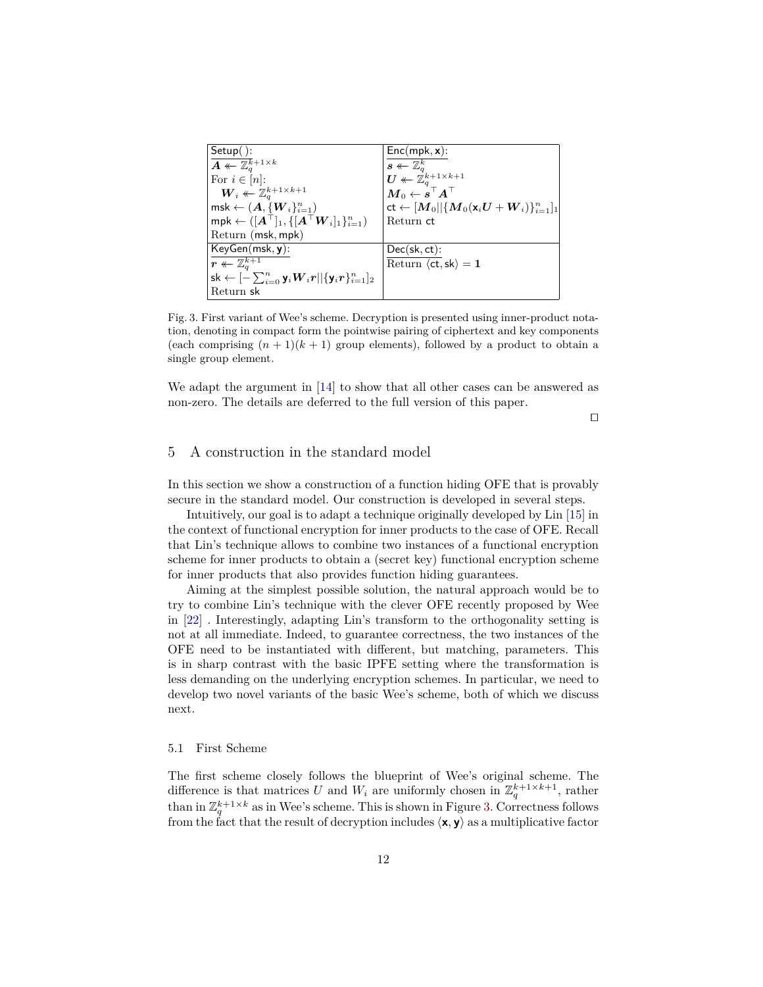| $Setup()$ :                                                                                                 | $Enc(mpk, x)$ :                                                                           |
|-------------------------------------------------------------------------------------------------------------|-------------------------------------------------------------------------------------------|
| $\overline{A \leftarrow \mathbb{Z}_q^k}{}^{+1 \times k}$                                                    | $s \leftarrow \mathbb{Z}_a^k$                                                             |
| For $i \in [n]$ :                                                                                           | $\boldsymbol{U} \leftarrow \mathbb{Z}_a^{k+1 \times k+1}$                                 |
| $\boldsymbol{W}_i \leftarrow \mathbb{Z}_q^{k+1 \times k+1}$                                                 | $\boldsymbol{M}_0 \leftarrow \boldsymbol{s}^\top \boldsymbol{A}^\top$                     |
| $msk \leftarrow (A, \{W_i\}_{i=1}^n)$                                                                       | $\mathsf{ct} \leftarrow [M_0    \{ M_0(\mathsf{x}_i U + \boldsymbol{W}_i) \}_{i=1}^n ]_1$ |
| $mpk \leftarrow ([A^{\top}]_1, \{ [A^{\top}W_i]_1 \}_{i=1}^n)$                                              | Return ct                                                                                 |
| Return (msk, mpk)                                                                                           |                                                                                           |
| $KeyGen(msk, y)$ :                                                                                          | $Dec(\mathsf{sk}, \mathsf{ct})$ :                                                         |
| $\mid r \twoheadleftarrow \mathbb{Z}_a^{k+1}$                                                               | Return $\langle ct, sk \rangle = 1$                                                       |
| $\mathsf{sk} \leftarrow [-\sum_{i=0}^n \mathsf{y}_i \bm{W}_i \bm{r}    \{\mathsf{y}_i \bm{r}\}_{i=1}^n ]_2$ |                                                                                           |
| Return sk                                                                                                   |                                                                                           |

<span id="page-11-1"></span>Fig. 3. First variant of Wee's scheme. Decryption is presented using inner-product notation, denoting in compact form the pointwise pairing of ciphertext and key components (each comprising  $(n+1)(k+1)$  group elements), followed by a product to obtain a single group element.

We adapt the argument in [[14\]](#page-21-4) to show that all other cases can be answered as non-zero. The details are deferred to the full version of this paper.

*⊓⊔*

## <span id="page-11-0"></span>5 A construction in the standard model

In this section we show a construction of a function hiding OFE that is provably secure in the standard model. Our construction is developed in several steps.

Intuitively, our goal is to adapt a technique originally developed by Lin [\[15](#page-21-0)] in the context of functional encryption for inner products to the case of OFE. Recall that Lin's technique allows to combine two instances of a functional encryption scheme for inner products to obtain a (secret key) functional encryption scheme for inner products that also provides function hiding guarantees.

Aiming at the simplest possible solution, the natural approach would be to try to combine Lin's technique with the clever OFE recently proposed by Wee in [[22\]](#page-21-3) . Interestingly, adapting Lin's transform to the orthogonality setting is not at all immediate. Indeed, to guarantee correctness, the two instances of the OFE need to be instantiated with different, but matching, parameters. This is in sharp contrast with the basic IPFE setting where the transformation is less demanding on the underlying encryption schemes. In particular, we need to develop two novel variants of the basic Wee's scheme, both of which we discuss next.

#### <span id="page-11-2"></span>5.1 First Scheme

The first scheme closely follows the blueprint of Wee's original scheme. The difference is that matrices U and  $W_i$  are uniformly chosen in  $\mathbb{Z}_q^{k+1 \times k+1}$ , rather than in  $\mathbb{Z}_q^{k+1\times k}$  as in Wee's scheme. This is shown in Figure [3](#page-11-1). Correctness follows from the fact that the result of decryption includes  $\langle \mathbf{x}, \mathbf{y} \rangle$  as a multiplicative factor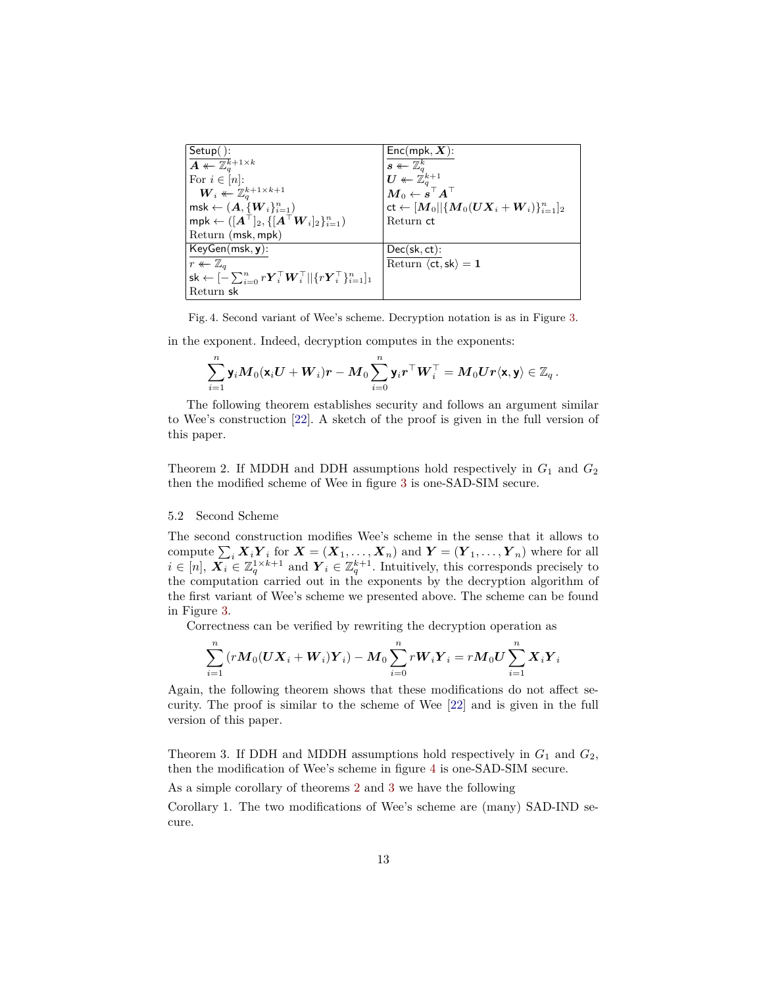| $Setup($ ):                                                                                                                | $Enc(mpk, X)$ :                                                                         |
|----------------------------------------------------------------------------------------------------------------------------|-----------------------------------------------------------------------------------------|
| $\overline{A\leftarrow \mathbb{Z}_a^k}{}^{+1\times k}$                                                                     | $s \leftarrow \mathbb{Z}_a^k$                                                           |
| For $i \in [n]$ :                                                                                                          | $\boldsymbol{U}\twoheadleftarrow \mathbb{Z}_a^{k+1}$                                    |
| $\boldsymbol{W}_i \leftarrow \mathbb{Z}_q^{k+1 \times k+1}$                                                                | $\bm{M}_0 \leftarrow \overset{\text{\tiny{\textsf{i}}}}{\bm{s}}{}^{\top} \bm{A}^{\top}$ |
| $msk \leftarrow (A, \{W_i\}_{i=1}^n)$                                                                                      | $\text{ct} \leftarrow [M_0    \{ M_0 (UX_i + W_i) \}_{i=1}^n ]_2$                       |
| $mpk \leftarrow ([A^{\top}]_2, \{ [A^{\top}W_i]_2 \}_{i=1}^n)$                                                             | Return ct                                                                               |
| Return (msk, mpk)                                                                                                          |                                                                                         |
| $KeyGen(msk, y)$ :                                                                                                         | $Dec(\mathsf{sk}, \mathsf{ct})$ :                                                       |
| $r \leftarrow \mathbb{Z}_q$                                                                                                | Return $\langle ct, sk \rangle = 1$                                                     |
| sk $\leftarrow [-\sum_{i=0}^{n} r \boldsymbol{Y}_i^\top \boldsymbol{W}_i^\top    \{r \boldsymbol{Y}_i^\top\}_{i=1}^{n}]_1$ |                                                                                         |
| Return sk                                                                                                                  |                                                                                         |

<span id="page-12-0"></span>Fig. 4. Second variant of Wee's scheme. Decryption notation is as in Figure [3.](#page-11-1)

in the exponent. Indeed, decryption computes in the exponents:

$$
\sum_{i=1}^n \mathsf{y}_i\bm{M}_0(\mathsf{x}_i\bm{U}+\bm{W}_i)\bm{r}-\bm{M}_0\sum_{i=0}^n \mathsf{y}_i\bm{r}^\top\bm{W}_i^\top=\bm{M}_0\bm{U}\bm{r}\langle\mathsf{x},\mathsf{y}\rangle\in\mathbb{Z}_q\,.
$$

The following theorem establishes security and follows an argument similar to Wee's construction [\[22](#page-21-3)]. A sketch of the proof is given in the full version of this paper.

<span id="page-12-1"></span>Theorem 2. If MDDH and DDH assumptions hold respectively in  $G_1$  and  $G_2$ then the modified scheme of Wee in figure [3](#page-11-1) is one-SAD-SIM secure.

#### <span id="page-12-3"></span>5.2 Second Scheme

The second construction modifies Wee's scheme in the sense that it allows to compute  $\sum_i \mathbf{X}_i \mathbf{Y}_i$  for  $\mathbf{X} = (\mathbf{X}_1, \dots, \mathbf{X}_n)$  and  $\mathbf{Y} = (\mathbf{Y}_1, \dots, \mathbf{Y}_n)$  where for all  $i \in [n], X_i \in \mathbb{Z}_q^{1 \times k+1}$  and  $Y_i \in \mathbb{Z}_q^{k+1}$ . Intuitively, this corresponds precisely to the computation carried out in the exponents by the decryption algorithm of the first variant of Wee's scheme we presented above. The scheme can be found in Figure [3.](#page-11-1)

Correctness can be verified by rewriting the decryption operation as

$$
\sum_{i=1}^n\left(r{\boldsymbol{M}}_0({\boldsymbol{U}}{\boldsymbol{X}}_i+{\boldsymbol{W}}_i){\boldsymbol{Y}}_i\right)-{\boldsymbol{M}}_0\sum_{i=0}^nr{\boldsymbol{W}}_i{\boldsymbol{Y}}_i=r{\boldsymbol{M}}_0{\boldsymbol{U}}\sum_{i=1}^n{\boldsymbol{X}}_i{\boldsymbol{Y}}_i
$$

Again, the following theorem shows that these modifications do not affect security. The proof is similar to the scheme of Wee [[22\]](#page-21-3) and is given in the full version of this paper.

<span id="page-12-2"></span>Theorem 3. If DDH and MDDH assumptions hold respectively in  $G_1$  and  $G_2$ , then the modification of Wee's scheme in figure [4](#page-12-0) is one-SAD-SIM secure.

As a simple corollary of theorems [2](#page-12-1) and [3](#page-12-2) we have the following

Corollary 1. The two modifications of Wee's scheme are (many) SAD-IND secure.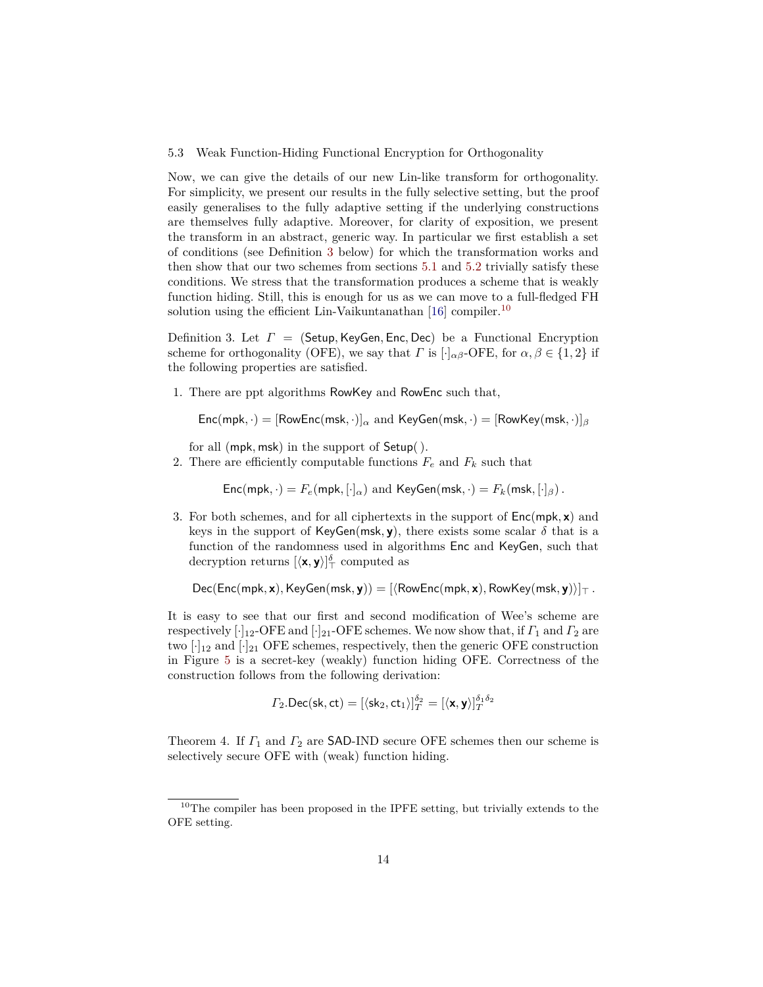<span id="page-13-2"></span>5.3 Weak Function-Hiding Functional Encryption for Orthogonality

Now, we can give the details of our new Lin-like transform for orthogonality. For simplicity, we present our results in the fully selective setting, but the proof easily generalises to the fully adaptive setting if the underlying constructions are themselves fully adaptive. Moreover, for clarity of exposition, we present the transform in an abstract, generic way. In particular we first establish a set of conditions (see Definition [3](#page-13-0) below) for which the transformation works and then show that our two schemes from sections [5.1](#page-11-2) and [5.2](#page-12-3) trivially satisfy these conditions. We stress that the transformation produces a scheme that is weakly function hiding. Still, this is enough for us as we can move to a full-fledged FH solution using the efficient Lin-Vaikuntanathan  $[16]$  compiler.<sup>[10](#page-13-1)</sup>

<span id="page-13-0"></span>Definition 3. Let *Γ* = (Setup*,*KeyGen*,* Enc*,* Dec) be a Functional Encryption scheme for orthogonality (OFE), we say that *Γ* is  $[\cdot]_{\alpha\beta}$ -OFE, for  $\alpha, \beta \in \{1, 2\}$  if the following properties are satisfied.

1. There are ppt algorithms RowKey and RowEnc such that,

Enc(mpk, ·) = 
$$
[RowEnc(msk, ·)]_{\alpha}
$$
 and KeyGen(msk, ·) =  $[RowKey(msk, ·)]_{\beta}$ 

for all (mpk*,* msk) in the support of Setup( ).

2. There are efficiently computable functions  $F_e$  and  $F_k$  such that

 $Enc(mpk, \cdot) = F_e(mpk, [\cdot]_\alpha)$  and  $KeyGen(msk, \cdot) = F_k(msk, [\cdot]_\beta)$ .

3. For both schemes, and for all ciphertexts in the support of Enc(mpk*,* **x**) and keys in the support of KeyGen(msk, y), there exists some scalar  $\delta$  that is a function of the randomness used in algorithms Enc and KeyGen, such that decryption returns  $[\langle \mathbf{x}, \mathbf{y} \rangle]_T^{\delta}$  computed as

Dec(Enc(mpk*,* **x**)*,*KeyGen(msk*,* **y**)) = [*⟨*RowEnc(mpk*,* **x**)*,* RowKey(msk*,* **y**)*⟩*]*<sup>⊤</sup> .*

It is easy to see that our first and second modification of Wee's scheme are respectively  $[\cdot]_{12}$ -OFE and  $[\cdot]_{21}$ -OFE schemes. We now show that, if  $\Gamma_1$  and  $\Gamma_2$  are two  $[\cdot]_{12}$  and  $[\cdot]_{21}$  OFE schemes, respectively, then the generic OFE construction in Figure [5](#page-14-0) is a secret-key (weakly) function hiding OFE. Correctness of the construction follows from the following derivation:

$$
\varGamma_2.\mathsf{Dec}(\mathsf{sk},\mathsf{ct})=[\langle \mathsf{sk}_2,\mathsf{ct}_1\rangle]_T^{\delta_2}=[\langle \mathbf{x},\mathbf{y}\rangle]_T^{\delta_1\delta_2}
$$

<span id="page-13-3"></span>Theorem 4. If *Γ*<sup>1</sup> and *Γ*<sup>2</sup> are SAD-IND secure OFE schemes then our scheme is selectively secure OFE with (weak) function hiding.

<span id="page-13-1"></span> $10$ The compiler has been proposed in the IPFE setting, but trivially extends to the OFE setting.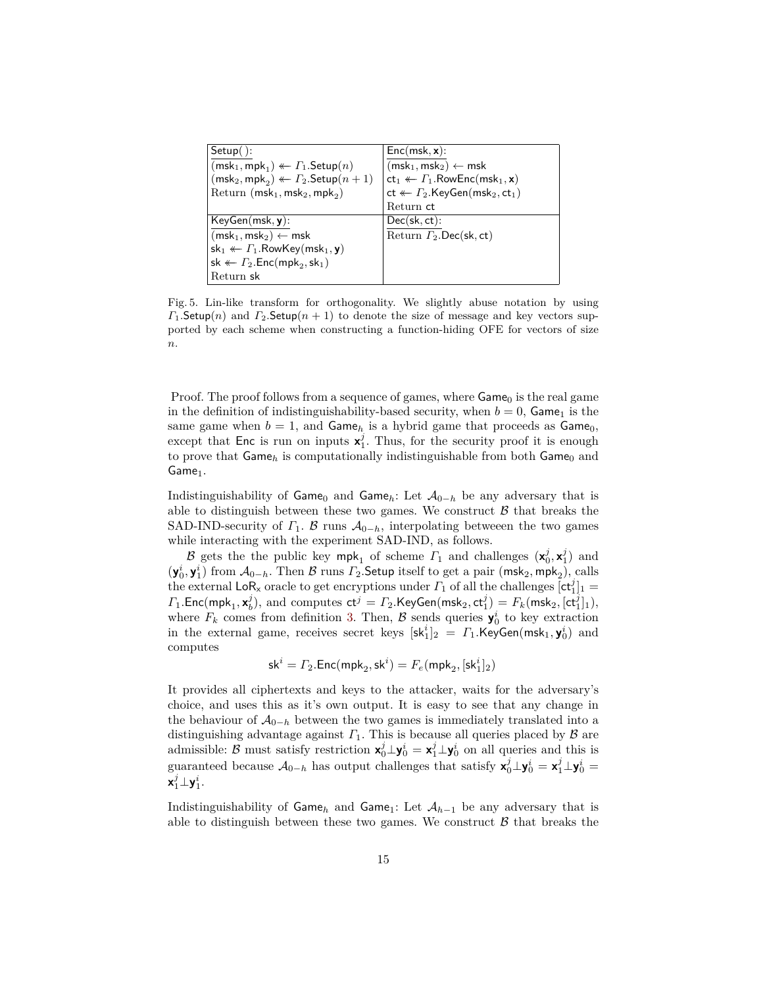| $Setup( )$ :                                                        | $Enc(msk, x)$ :                                                       |
|---------------------------------------------------------------------|-----------------------------------------------------------------------|
| $(msk_1, mpk_1) \leftarrow \Gamma_1$ . Setup $(n)$                  | $(msk_1, msk_2) \leftarrow msk$                                       |
| $(msk_2, mpk_2) \leftarrow \Gamma_2$ . Setup $(n+1)$                | $ct_1 \leftarrow \Gamma_1$ . Row Enc(msk <sub>1</sub> , x)            |
| Return ( $msk_1,msk_2,mpk_2$ )                                      | $ct \leftarrow \Gamma_2$ .KeyGen(msk <sub>2</sub> , ct <sub>1</sub> ) |
|                                                                     | Return ct                                                             |
| $KeyGen(msk, y)$ :                                                  | $Dec(\mathsf{sk}, \mathsf{ct})$ :                                     |
| $(msk_1, msk_2) \leftarrow msk$                                     | Return $\Gamma_2$ . Dec(sk, ct)                                       |
| $sk_1 \leftarrow \Gamma_1$ . Row Key (msk <sub>1</sub> , y)         |                                                                       |
| sk $\leftarrow \Gamma_2$ . Enc(mpk <sub>2</sub> , sk <sub>1</sub> ) |                                                                       |
| Return sk                                                           |                                                                       |

<span id="page-14-0"></span>Fig. 5. Lin-like transform for orthogonality. We slightly abuse notation by using *Γ*<sub>1</sub>.Setup(*n*) and *Γ*<sub>2</sub>.Setup(*n* + 1) to denote the size of message and key vectors supported by each scheme when constructing a function-hiding OFE for vectors of size *n*.

Proof. The proof follows from a sequence of games, where  $Game_0$  is the real game in the definition of indistinguishability-based security, when  $b = 0$ , Game<sub>1</sub> is the same game when  $b = 1$ , and Game<sub>h</sub> is a hybrid game that proceeds as Game<sub>0</sub>, except that Enc is run on inputs  $x_1^j$ . Thus, for the security proof it is enough to prove that  $\mathsf{Game}_h$  is computationally indistinguishable from both  $\mathsf{Game}_0$  and  $Game<sub>1</sub>$ .

Indistinguishability of Game<sub>0</sub> and Game<sub>h</sub>: Let  $\mathcal{A}_{0-h}$  be any adversary that is able to distinguish between these two games. We construct  $\beta$  that breaks the SAD-IND-security of  $\Gamma_1$ . *B* runs  $\mathcal{A}_{0-h}$ , interpolating between the two games while interacting with the experiment SAD-IND, as follows.

*B* gets the the public key  $mpk_1$  of scheme  $\Gamma_1$  and challenges  $(\mathbf{x}_0^j, \mathbf{x}_1^j)$  and  $(\mathbf{y}_0^i, \mathbf{y}_1^i)$  from  $\mathcal{A}_{0-h}$ . Then  $\mathcal{B}$  runs  $\Gamma_2$ . Setup itself to get a pair  $(msk_2, mpk_2)$ , calls the external LoR<sub>x</sub> oracle to get encryptions under  $\Gamma_1$  of all the challenges  $[\text{ct}_1^j]_1 =$  $\varGamma_1$ .Enc(mpk<sub>1</sub>,  $\mathbf{x}_b^j$ ), and computes  $\mathsf{ct}^j = \varGamma_2$ .KeyGen(msk<sub>2</sub>,  $\mathsf{ct}_1^j$ ) =  $F_k(\mathsf{msk}_2, [\mathsf{ct}_1^j]_1)$ , where  $F_k$  comes from definition [3](#page-13-0). Then,  $\beta$  sends queries  $\mathbf{y}_0^i$  to key extraction in the external game, receives secret keys  $[\text{sk}_1^i]_2 = \Gamma_1 \cdot \text{KeyGen}(\text{msk}_1, \textbf{y}_0^i)$  and computes

$$
\mathsf{sk}^i = \varGamma_2.\mathsf{Enc}(\mathsf{mpk}_2,\mathsf{sk}^i) = \varGamma_e(\mathsf{mpk}_2, [\mathsf{sk}_1^i]_2)
$$

It provides all ciphertexts and keys to the attacker, waits for the adversary's choice, and uses this as it's own output. It is easy to see that any change in the behaviour of  $A_{0-h}$  between the two games is immediately translated into a distinguishing advantage against  $\Gamma_1$ . This is because all queries placed by  $\beta$  are admissible:  $\beta$  must satisfy restriction  $\mathbf{x}_0^j \perp \mathbf{y}_0^i = \mathbf{x}_1^j \perp \mathbf{y}_0^i$  on all queries and this is guaranteed because  $\mathcal{A}_{0-h}$  has output challenges that satisfy  $\mathbf{x}_0^j \perp \mathbf{y}_0^i = \mathbf{x}_1^j \perp \mathbf{y}_0^i =$  $\mathsf{x}_1^j \bot \mathsf{y}_1^i$  .

Indistinguishability of  $Game<sub>h</sub>$  and  $Game<sub>1</sub>$ : Let  $A<sub>h-1</sub>$  be any adversary that is able to distinguish between these two games. We construct  $\beta$  that breaks the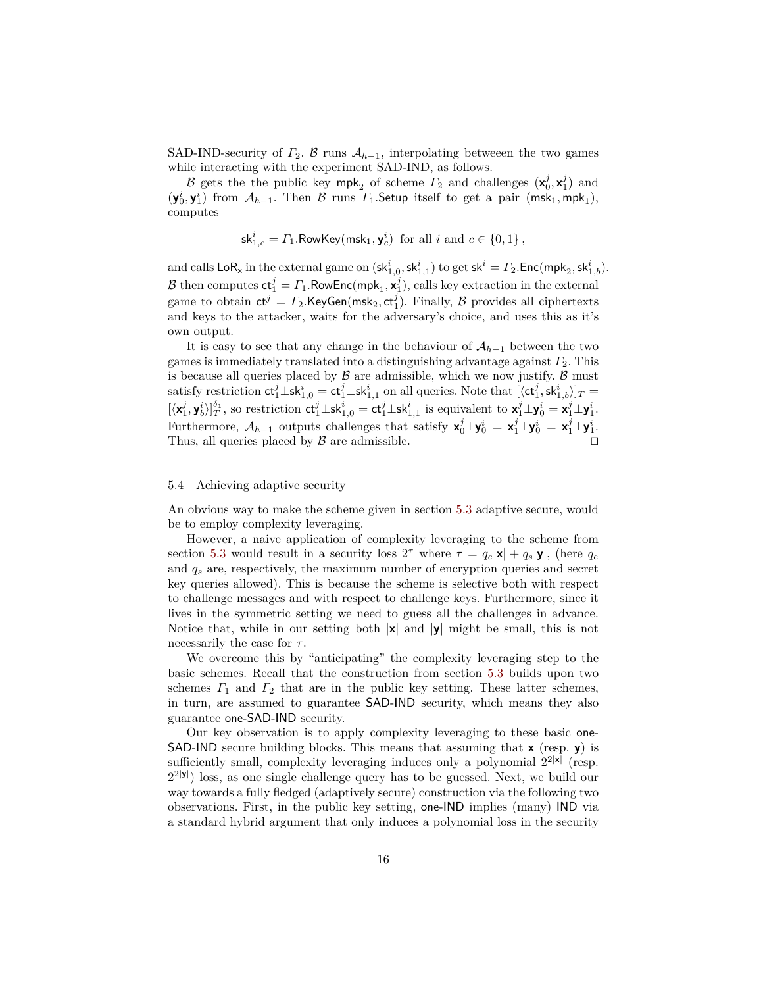SAD-IND-security of  $\Gamma_2$ . *B* runs  $\mathcal{A}_{h-1}$ , interpolating between the two games while interacting with the experiment SAD-IND, as follows.

*B* gets the the public key mpk<sub>2</sub> of scheme  $\Gamma_2$  and challenges  $(\mathbf{x}_0^j, \mathbf{x}_1^j)$  and  $(y_0^i, y_1^i)$  from  $\mathcal{A}_{h-1}$ . Then  $\mathcal B$  runs  $\Gamma_1$ . Setup itself to get a pair  $(msk_1, mpk_1)$ , computes

$$
\mathsf{sk}^i_{1,c} = \varGamma_1.\mathsf{RowKey}(\mathsf{msk}_1,\mathbf{y}^i_c) \ \text{ for all } i \text{ and } c \in \{0,1\}\,,
$$

and calls  $\mathsf{LoR}_\mathsf{x}$  in the external game on  $(\mathsf{sk}^i_{1,0},\mathsf{sk}^i_{1,1})$  to get  $\mathsf{sk}^i = \varGamma_2.\mathsf{Enc}(\mathsf{mpk}_2,\mathsf{sk}^i_{1,b}).$  $\mathcal{B}$  then computes  $ct_1^j = \varGamma_1$ .RowEnc(mpk<sub>1</sub>,  $\mathbf{x}_1^j$ ), calls key extraction in the external game to obtain  $ct^j = \Gamma_2$ .KeyGen(msk<sub>2</sub>, ct<sup>*j*</sup></sup>). Finally, *B* provides all ciphertexts and keys to the attacker, waits for the adversary's choice, and uses this as it's own output.

It is easy to see that any change in the behaviour of  $A_{h-1}$  between the two games is immediately translated into a distinguishing advantage against *Γ*2. This is because all queries placed by  $\beta$  are admissible, which we now justify.  $\beta$  must  $\text{Satisfy restriction } \text{ct}_1^j \_ \text{sk}_{1,0}^i = \text{ct}_1^j \_ \text{sk}_{1,1}^i$  on all queries. Note that  $[\langle \text{ct}_1^j, \text{sk}_{1,b}^i \rangle]_T =$  $[\langle \mathbf{x}_1^j, \mathbf{y}_b^i \rangle]_T^{\delta_1}$ , so restriction  $\mathsf{ct}_1^j \bot \mathsf{sk}_{1,0}^i = \mathsf{ct}_1^j \bot \mathsf{sk}_{1,1}^i$  is equivalent to  $\mathbf{x}_1^j \bot \mathbf{y}_0^i = \mathbf{x}_1^j \bot \mathbf{y}_1^i$ . Furthermore,  $A_{h-1}$  outputs challenges that satisfy  $\mathbf{x}_0^j \perp \mathbf{y}_0^i = \mathbf{x}_1^j \perp \mathbf{y}_0^i = \mathbf{x}_1^j \perp \mathbf{y}_1^i$ . Thus, all queries placed by *B* are admissible. *⊓⊔*

#### 5.4 Achieving adaptive security

An obvious way to make the scheme given in section [5.3](#page-13-2) adaptive secure, would be to employ complexity leveraging.

However, a naive application of complexity leveraging to the scheme from section [5.3](#page-13-2) would result in a security loss  $2^{\tau}$  where  $\tau = q_e |\mathbf{x}| + q_s |\mathbf{y}|$ , (here  $q_e$ and *q<sup>s</sup>* are, respectively, the maximum number of encryption queries and secret key queries allowed). This is because the scheme is selective both with respect to challenge messages and with respect to challenge keys. Furthermore, since it lives in the symmetric setting we need to guess all the challenges in advance. Notice that, while in our setting both *|***x***|* and *|***y***|* might be small, this is not necessarily the case for *τ* .

We overcome this by "anticipating" the complexity leveraging step to the basic schemes. Recall that the construction from section [5.3](#page-13-2) builds upon two schemes  $\Gamma_1$  and  $\Gamma_2$  that are in the public key setting. These latter schemes, in turn, are assumed to guarantee SAD-IND security, which means they also guarantee one-SAD-IND security.

Our key observation is to apply complexity leveraging to these basic one-SAD-IND secure building blocks. This means that assuming that **x** (resp. **y**) is sufficiently small, complexity leveraging induces only a polynomial  $2^{2|x|}$  (resp. 2 2*|***y***|* ) loss, as one single challenge query has to be guessed. Next, we build our way towards a fully fledged (adaptively secure) construction via the following two observations. First, in the public key setting, one-IND implies (many) IND via a standard hybrid argument that only induces a polynomial loss in the security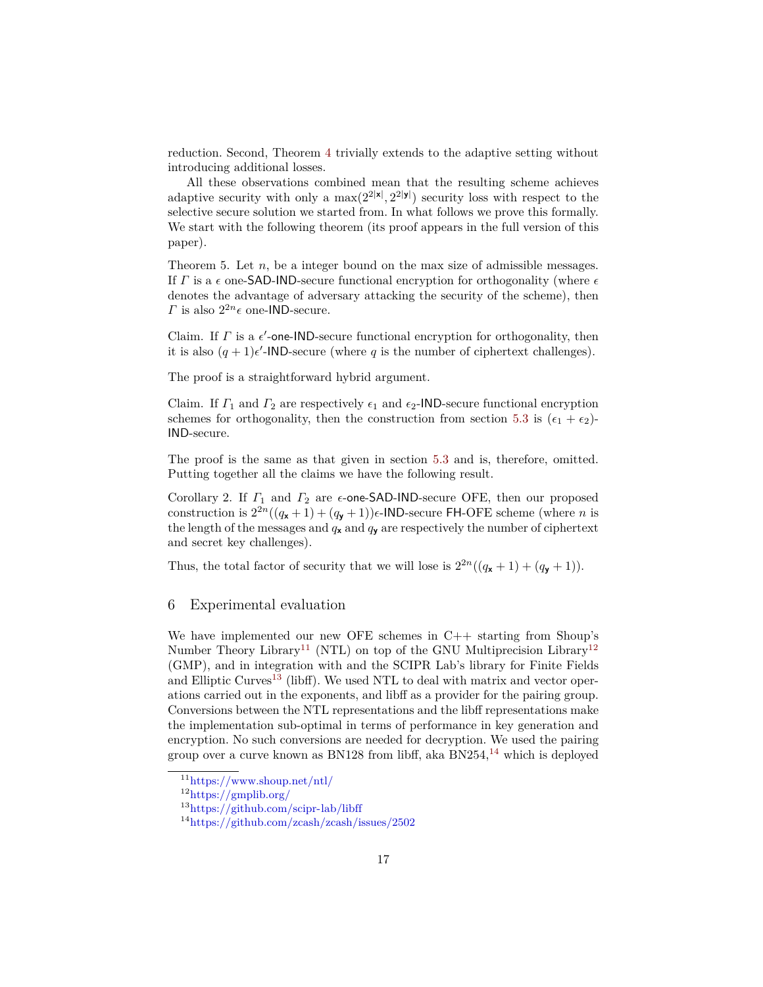reduction. Second, Theorem [4](#page-13-3) trivially extends to the adaptive setting without introducing additional losses.

All these observations combined mean that the resulting scheme achieves adaptive security with only a  $\max(2^{2|\mathbf{x}|}, 2^{2|\mathbf{y}|})$  security loss with respect to the selective secure solution we started from. In what follows we prove this formally. We start with the following theorem (its proof appears in the full version of this paper).

Theorem 5. Let *n*, be a integer bound on the max size of admissible messages. If *Γ* is a *ϵ* one-SAD-IND-secure functional encryption for orthogonality (where *ϵ* denotes the advantage of adversary attacking the security of the scheme), then *Γ* is also  $2^{2n} \epsilon$  one-IND-secure.

Claim. If  $\Gamma$  is a  $\epsilon'$ -one-IND-secure functional encryption for orthogonality, then it is also  $(q + 1)\epsilon'$ -IND-secure (where q is the number of ciphertext challenges).

The proof is a straightforward hybrid argument.

Claim. If  $\Gamma_1$  and  $\Gamma_2$  are respectively  $\epsilon_1$  and  $\epsilon_2$ -IND-secure functional encryption schemes for orthogonality, then the construction from section [5.3](#page-13-2) is  $(\epsilon_1 + \epsilon_2)$ -IND-secure.

The proof is the same as that given in section [5.3](#page-13-2) and is, therefore, omitted. Putting together all the claims we have the following result.

Corollary 2. If *Γ*<sup>1</sup> and *Γ*<sup>2</sup> are *ϵ*-one-SAD-IND-secure OFE, then our proposed construction is  $2^{2n}((q_{\mathbf{x}}+1)+(q_{\mathbf{y}}+1))\epsilon$ -IND-secure FH-OFE scheme (where *n* is the length of the messages and  $q_{\mathbf{x}}$  and  $q_{\mathbf{y}}$  are respectively the number of ciphertext and secret key challenges).

Thus, the total factor of security that we will lose is  $2^{2n}((q_{\mathbf{x}}+1) + (q_{\mathbf{y}}+1)).$ 

## <span id="page-16-0"></span>6 Experimental evaluation

We have implemented our new OFE schemes in C++ starting from Shoup's Number Theory Library<sup>[11](#page-16-1)</sup> (NTL) on top of the GNU Multiprecision Library<sup>[12](#page-16-2)</sup> (GMP), and in integration with and the SCIPR Lab's library for Finite Fields and Elliptic Curves<sup>[13](#page-16-3)</sup> (libff). We used NTL to deal with matrix and vector operations carried out in the exponents, and libff as a provider for the pairing group. Conversions between the NTL representations and the libff representations make the implementation sub-optimal in terms of performance in key generation and encryption. No such conversions are needed for decryption. We used the pairing group over a curve known as BN128 from libff, aka BN254, $^{14}$  $^{14}$  $^{14}$  which is deployed

<span id="page-16-1"></span> $\rm ^{11}$  <https://www.shoup.net/ntl/>

<span id="page-16-2"></span><sup>12</sup><https://gmplib.org/>

<span id="page-16-3"></span><sup>13</sup><https://github.com/scipr-lab/libff>

<span id="page-16-4"></span><sup>14</sup><https://github.com/zcash/zcash/issues/2502>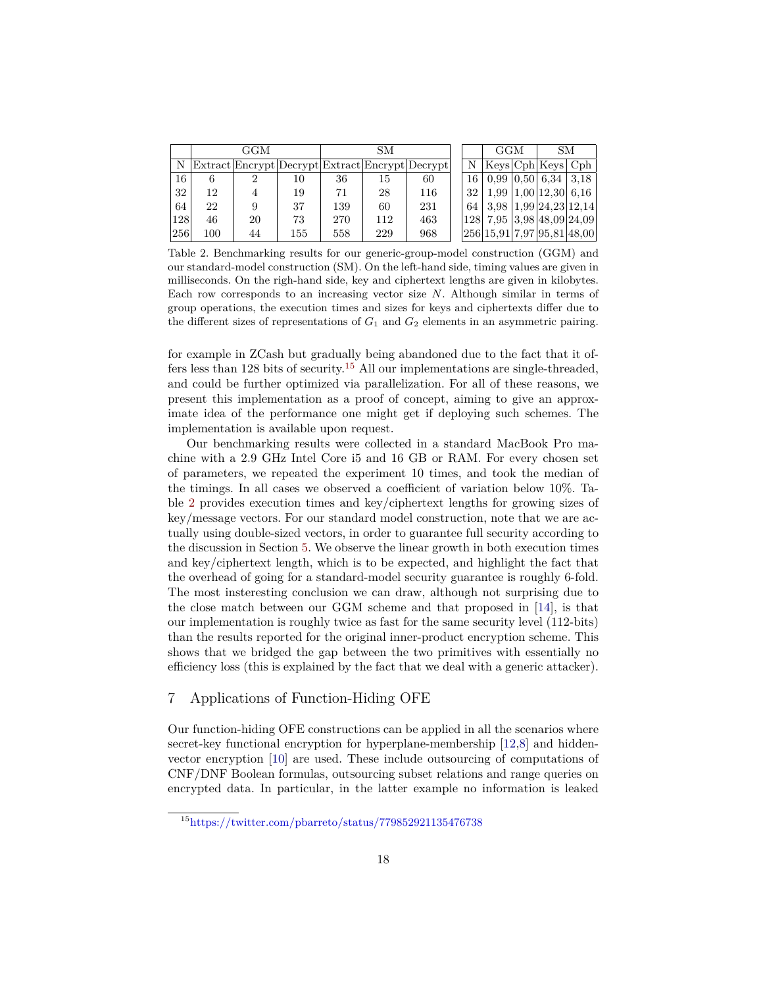|            |     | GGM |     | SМ  |     |                                                 | <b>GGM</b> | SМ |                                                   |  |
|------------|-----|-----|-----|-----|-----|-------------------------------------------------|------------|----|---------------------------------------------------|--|
| N          |     |     |     |     |     | Extract Encrypt Decrypt Extract Encrypt Decrypt |            |    | $N$   Keys   Cph   Keys   Cph                     |  |
| 16.        | 6   |     | 10  | 36  | 15  | 60                                              |            |    | $16 \mid 0.99 \mid 0.50 \mid 6.34 \mid 3.18 \mid$ |  |
| 32         | 12  |     | 19  | 71  | 28  | 116                                             |            |    | 32   1.99   1.00   12.30   6.16                   |  |
| 64         | 22  |     | 37  | 139 | 60  | 231                                             |            |    | 64   3,98   1,99   24,23   12,14                  |  |
| <b>128</b> | 46  | 20  | 73  | 270 | 112 | 463                                             |            |    | 128  7,95  3,98 48,09 24,09                       |  |
| 256        | 100 | 44  | 155 | 558 | 229 | 968                                             |            |    | 256 15.91 7.97 95.81 48.00                        |  |

<span id="page-17-2"></span>Table 2. Benchmarking results for our generic-group-model construction (GGM) and our standard-model construction (SM). On the left-hand side, timing values are given in milliseconds. On the righ-hand side, key and ciphertext lengths are given in kilobytes. Each row corresponds to an increasing vector size *N*. Although similar in terms of group operations, the execution times and sizes for keys and ciphertexts differ due to the different sizes of representations of  $G_1$  and  $G_2$  elements in an asymmetric pairing.

for example in ZCash but gradually being abandoned due to the fact that it of-fers less than 128 bits of security.<sup>[15](#page-17-1)</sup> All our implementations are single-threaded, and could be further optimized via parallelization. For all of these reasons, we present this implementation as a proof of concept, aiming to give an approximate idea of the performance one might get if deploying such schemes. The implementation is available upon request.

Our benchmarking results were collected in a standard MacBook Pro machine with a 2.9 GHz Intel Core i5 and 16 GB or RAM. For every chosen set of parameters, we repeated the experiment 10 times, and took the median of the timings. In all cases we observed a coefficient of variation below 10%. Table [2](#page-17-2) provides execution times and key/ciphertext lengths for growing sizes of key/message vectors. For our standard model construction, note that we are actually using double-sized vectors, in order to guarantee full security according to the discussion in Section [5](#page-11-0). We observe the linear growth in both execution times and key/ciphertext length, which is to be expected, and highlight the fact that the overhead of going for a standard-model security guarantee is roughly 6-fold. The most insteresting conclusion we can draw, although not surprising due to the close match between our GGM scheme and that proposed in [[14\]](#page-21-4), is that our implementation is roughly twice as fast for the same security level (112-bits) than the results reported for the original inner-product encryption scheme. This shows that we bridged the gap between the two primitives with essentially no efficiency loss (this is explained by the fact that we deal with a generic attacker).

# <span id="page-17-0"></span>7 Applications of Function-Hiding OFE

Our function-hiding OFE constructions can be applied in all the scenarios where secret-key functional encryption for hyperplane-membership [\[12](#page-20-7),[8\]](#page-20-11) and hiddenvector encryption [\[10](#page-20-6)] are used. These include outsourcing of computations of CNF/DNF Boolean formulas, outsourcing subset relations and range queries on encrypted data. In particular, in the latter example no information is leaked

<span id="page-17-1"></span><sup>15</sup><https://twitter.com/pbarreto/status/779852921135476738>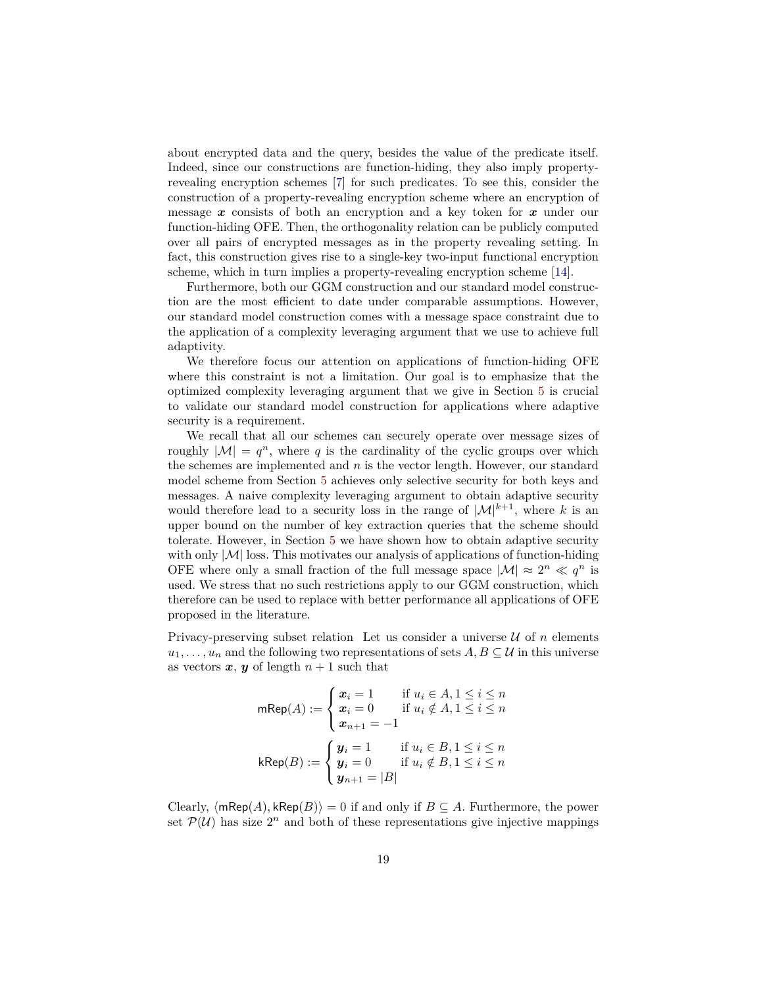about encrypted data and the query, besides the value of the predicate itself. Indeed, since our constructions are function-hiding, they also imply propertyrevealing encryption schemes [[7\]](#page-20-12) for such predicates. To see this, consider the construction of a property-revealing encryption scheme where an encryption of message *x* consists of both an encryption and a key token for *x* under our function-hiding OFE. Then, the orthogonality relation can be publicly computed over all pairs of encrypted messages as in the property revealing setting. In fact, this construction gives rise to a single-key two-input functional encryption scheme, which in turn implies a property-revealing encryption scheme [\[14](#page-21-4)].

Furthermore, both our GGM construction and our standard model construction are the most efficient to date under comparable assumptions. However, our standard model construction comes with a message space constraint due to the application of a complexity leveraging argument that we use to achieve full adaptivity.

We therefore focus our attention on applications of function-hiding OFE where this constraint is not a limitation. Our goal is to emphasize that the optimized complexity leveraging argument that we give in Section [5](#page-11-0) is crucial to validate our standard model construction for applications where adaptive security is a requirement.

We recall that all our schemes can securely operate over message sizes of roughly  $|M| = q^n$ , where q is the cardinality of the cyclic groups over which the schemes are implemented and *n* is the vector length. However, our standard model scheme from Section [5](#page-11-0) achieves only selective security for both keys and messages. A naive complexity leveraging argument to obtain adaptive security would therefore lead to a security loss in the range of  $|\mathcal{M}|^{k+1}$ , where k is an upper bound on the number of key extraction queries that the scheme should tolerate. However, in Section [5](#page-11-0) we have shown how to obtain adaptive security with only  $|M|$  loss. This motivates our analysis of applications of function-hiding OFE where only a small fraction of the full message space  $|\mathcal{M}| \approx 2^n \ll q^n$  is used. We stress that no such restrictions apply to our GGM construction, which therefore can be used to replace with better performance all applications of OFE proposed in the literature.

Privacy-preserving subset relation Let us consider a universe  $U$  of  $n$  elements  $u_1, \ldots, u_n$  and the following two representations of sets  $A, B \subseteq U$  in this universe as vectors  $x, y$  of length  $n + 1$  such that

$$
\mathsf{mRep}(A) := \begin{cases} x_i = 1 & \text{if } u_i \in A, 1 \le i \le n \\ x_i = 0 & \text{if } u_i \notin A, 1 \le i \le n \\ x_{n+1} = -1 \end{cases}
$$

$$
\mathsf{kRep}(B) := \begin{cases} y_i = 1 & \text{if } u_i \in B, 1 \le i \le n \\ y_i = 0 & \text{if } u_i \notin B, 1 \le i \le n \\ y_{n+1} = |B| \end{cases}
$$

Clearly,  $\langle m\text{Rep}(A), \text{kRep}(B) \rangle = 0$  if and only if  $B \subseteq A$ . Furthermore, the power set  $P(U)$  has size  $2^n$  and both of these representations give injective mappings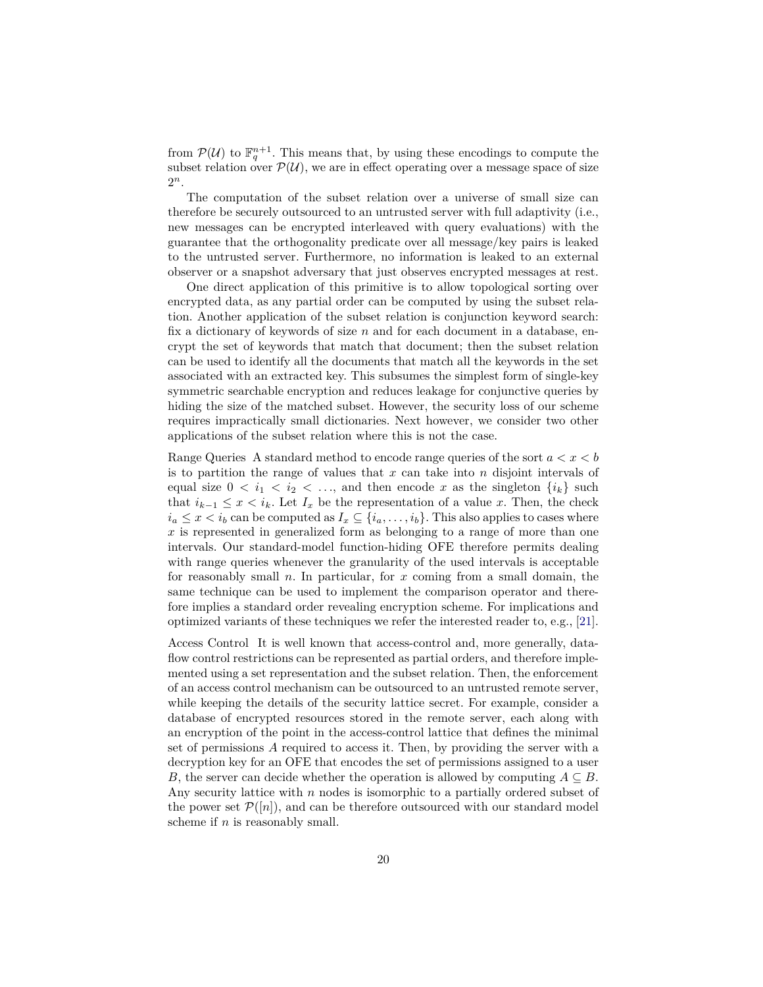from  $\mathcal{P}(\mathcal{U})$  to  $\mathbb{F}_q^{n+1}$ . This means that, by using these encodings to compute the subset relation over  $\mathcal{P}(\mathcal{U})$ , we are in effect operating over a message space of size 2 *n*.

The computation of the subset relation over a universe of small size can therefore be securely outsourced to an untrusted server with full adaptivity (i.e., new messages can be encrypted interleaved with query evaluations) with the guarantee that the orthogonality predicate over all message/key pairs is leaked to the untrusted server. Furthermore, no information is leaked to an external observer or a snapshot adversary that just observes encrypted messages at rest.

One direct application of this primitive is to allow topological sorting over encrypted data, as any partial order can be computed by using the subset relation. Another application of the subset relation is conjunction keyword search: fix a dictionary of keywords of size *n* and for each document in a database, encrypt the set of keywords that match that document; then the subset relation can be used to identify all the documents that match all the keywords in the set associated with an extracted key. This subsumes the simplest form of single-key symmetric searchable encryption and reduces leakage for conjunctive queries by hiding the size of the matched subset. However, the security loss of our scheme requires impractically small dictionaries. Next however, we consider two other applications of the subset relation where this is not the case.

Range Queries A standard method to encode range queries of the sort *a < x < b* is to partition the range of values that *x* can take into *n* disjoint intervals of equal size  $0 < i_1 < i_2 < \ldots$ , and then encode x as the singleton  $\{i_k\}$  such that  $i_{k-1} \leq x \leq i_k$ . Let  $I_x$  be the representation of a value *x*. Then, the check  $i_a \leq x \leq i_b$  can be computed as  $I_x \subseteq \{i_a, \ldots, i_b\}$ . This also applies to cases where *x* is represented in generalized form as belonging to a range of more than one intervals. Our standard-model function-hiding OFE therefore permits dealing with range queries whenever the granularity of the used intervals is acceptable for reasonably small *n*. In particular, for *x* coming from a small domain, the same technique can be used to implement the comparison operator and therefore implies a standard order revealing encryption scheme. For implications and optimized variants of these techniques we refer the interested reader to, e.g., [\[21](#page-21-8)].

Access Control It is well known that access-control and, more generally, dataflow control restrictions can be represented as partial orders, and therefore implemented using a set representation and the subset relation. Then, the enforcement of an access control mechanism can be outsourced to an untrusted remote server, while keeping the details of the security lattice secret. For example, consider a database of encrypted resources stored in the remote server, each along with an encryption of the point in the access-control lattice that defines the minimal set of permissions *A* required to access it. Then, by providing the server with a decryption key for an OFE that encodes the set of permissions assigned to a user *B*, the server can decide whether the operation is allowed by computing  $A \subseteq B$ . Any security lattice with *n* nodes is isomorphic to a partially ordered subset of the power set  $P([n])$ , and can be therefore outsourced with our standard model scheme if *n* is reasonably small.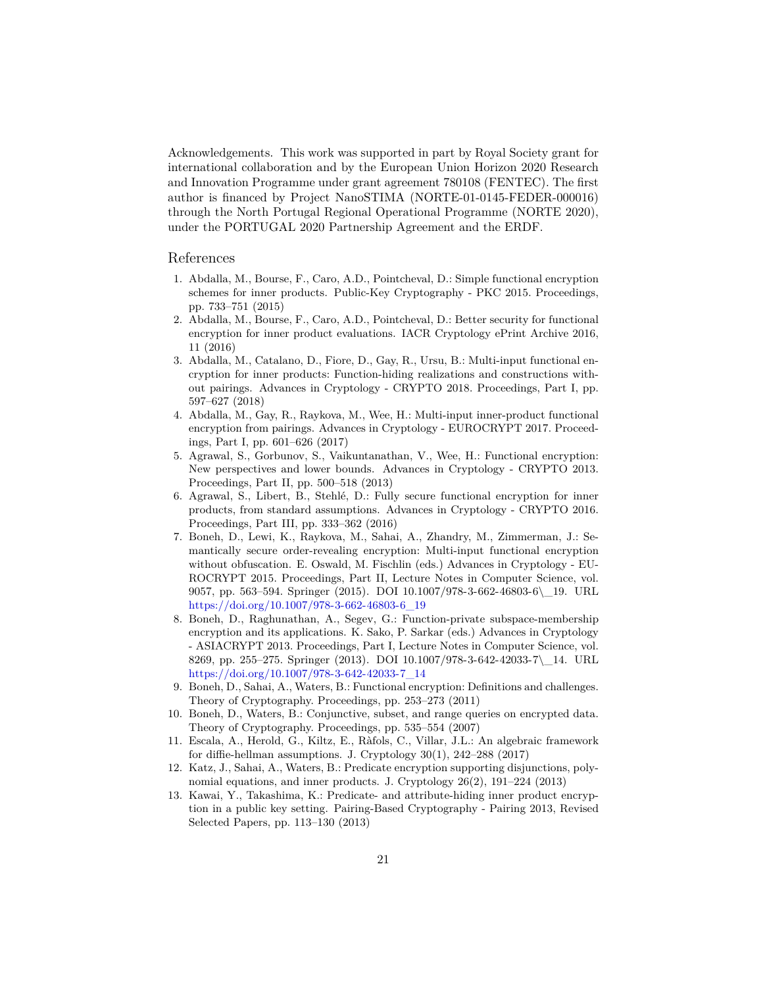Acknowledgements. This work was supported in part by Royal Society grant for international collaboration and by the European Union Horizon 2020 Research and Innovation Programme under grant agreement 780108 (FENTEC). The first author is financed by Project NanoSTIMA (NORTE-01-0145-FEDER-000016) through the North Portugal Regional Operational Programme (NORTE 2020), under the PORTUGAL 2020 Partnership Agreement and the ERDF.

#### References

- <span id="page-20-5"></span>1. Abdalla, M., Bourse, F., Caro, A.D., Pointcheval, D.: Simple functional encryption schemes for inner products. Public-Key Cryptography - PKC 2015. Proceedings, pp. 733–751 (2015)
- <span id="page-20-0"></span>2. Abdalla, M., Bourse, F., Caro, A.D., Pointcheval, D.: Better security for functional encryption for inner product evaluations. IACR Cryptology ePrint Archive 2016, 11 (2016)
- <span id="page-20-1"></span>3. Abdalla, M., Catalano, D., Fiore, D., Gay, R., Ursu, B.: Multi-input functional encryption for inner products: Function-hiding realizations and constructions without pairings. Advances in Cryptology - CRYPTO 2018. Proceedings, Part I, pp. 597–627 (2018)
- <span id="page-20-2"></span>4. Abdalla, M., Gay, R., Raykova, M., Wee, H.: Multi-input inner-product functional encryption from pairings. Advances in Cryptology - EUROCRYPT 2017. Proceedings, Part I, pp. 601–626 (2017)
- <span id="page-20-3"></span>5. Agrawal, S., Gorbunov, S., Vaikuntanathan, V., Wee, H.: Functional encryption: New perspectives and lower bounds. Advances in Cryptology - CRYPTO 2013. Proceedings, Part II, pp. 500–518 (2013)
- <span id="page-20-4"></span>6. Agrawal, S., Libert, B., Stehlé, D.: Fully secure functional encryption for inner products, from standard assumptions. Advances in Cryptology - CRYPTO 2016. Proceedings, Part III, pp. 333–362 (2016)
- <span id="page-20-12"></span>7. Boneh, D., Lewi, K., Raykova, M., Sahai, A., Zhandry, M., Zimmerman, J.: Semantically secure order-revealing encryption: Multi-input functional encryption without obfuscation. E. Oswald, M. Fischlin (eds.) Advances in Cryptology - EU-ROCRYPT 2015. Proceedings, Part II, Lecture Notes in Computer Science, vol. 9057, pp. 563–594. Springer (2015). DOI 10.1007/978-3-662-46803-6\\_19. URL [https://doi.org/10.1007/978-3-662-46803-6\\_19](https://doi.org/10.1007/978-3-662-46803-6_19)
- <span id="page-20-11"></span>8. Boneh, D., Raghunathan, A., Segev, G.: Function-private subspace-membership encryption and its applications. K. Sako, P. Sarkar (eds.) Advances in Cryptology - ASIACRYPT 2013. Proceedings, Part I, Lecture Notes in Computer Science, vol. 8269, pp. 255–275. Springer (2013). DOI 10.1007/978-3-642-42033-7\\_14. URL [https://doi.org/10.1007/978-3-642-42033-7\\_14](https://doi.org/10.1007/978-3-642-42033-7_14)
- <span id="page-20-10"></span>9. Boneh, D., Sahai, A., Waters, B.: Functional encryption: Definitions and challenges. Theory of Cryptography. Proceedings, pp. 253–273 (2011)
- <span id="page-20-6"></span>10. Boneh, D., Waters, B.: Conjunctive, subset, and range queries on encrypted data. Theory of Cryptography. Proceedings, pp. 535–554 (2007)
- <span id="page-20-9"></span>11. Escala, A., Herold, G., Kiltz, E., Ràfols, C., Villar, J.L.: An algebraic framework for diffie-hellman assumptions. J. Cryptology 30(1), 242–288 (2017)
- <span id="page-20-7"></span>12. Katz, J., Sahai, A., Waters, B.: Predicate encryption supporting disjunctions, polynomial equations, and inner products. J. Cryptology 26(2), 191–224 (2013)
- <span id="page-20-8"></span>13. Kawai, Y., Takashima, K.: Predicate- and attribute-hiding inner product encryption in a public key setting. Pairing-Based Cryptography - Pairing 2013, Revised Selected Papers, pp. 113–130 (2013)